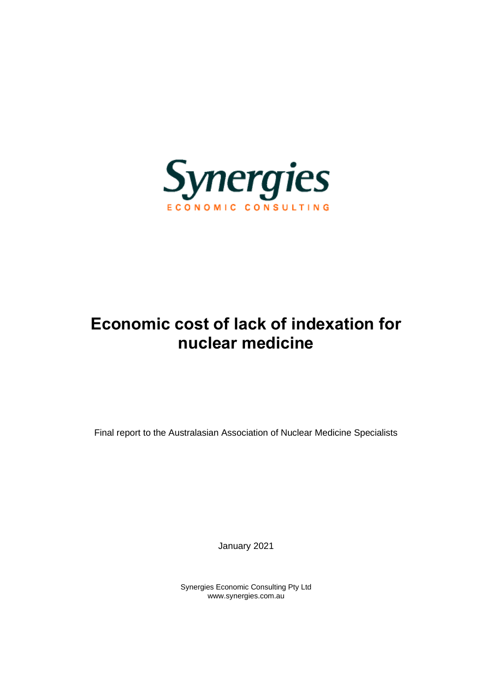

# **Economic cost of lack of indexation for nuclear medicine**

Final report to the Australasian Association of Nuclear Medicine Specialists

January 2021

Synergies Economic Consulting Pty Ltd www.synergies.com.au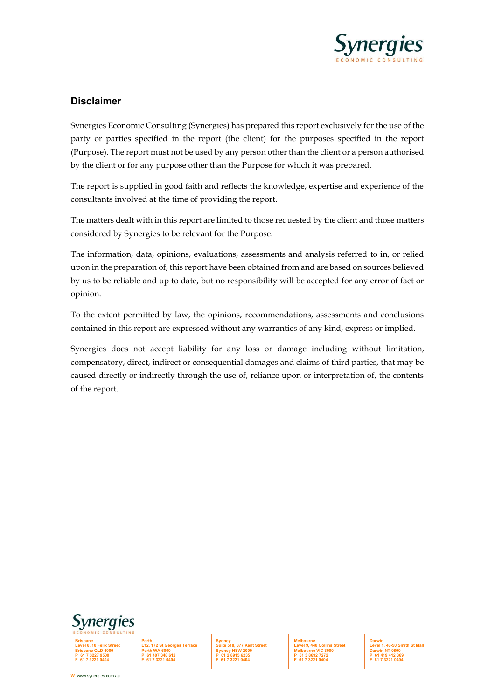

#### **Disclaimer**

Synergies Economic Consulting (Synergies) has prepared this report exclusively for the use of the party or parties specified in the report (the client) for the purposes specified in the report (Purpose). The report must not be used by any person other than the client or a person authorised by the client or for any purpose other than the Purpose for which it was prepared.

The report is supplied in good faith and reflects the knowledge, expertise and experience of the consultants involved at the time of providing the report.

The matters dealt with in this report are limited to those requested by the client and those matters considered by Synergies to be relevant for the Purpose.

The information, data, opinions, evaluations, assessments and analysis referred to in, or relied upon in the preparation of, this report have been obtained from and are based on sources believed by us to be reliable and up to date, but no responsibility will be accepted for any error of fact or opinion.

To the extent permitted by law, the opinions, recommendations, assessments and conclusions contained in this report are expressed without any warranties of any kind, express or implied.

Synergies does not accept liability for any loss or damage including without limitation, compensatory, direct, indirect or consequential damages and claims of third parties, that may be caused directly or indirectly through the use of, reliance upon or interpretation of, the contents of the report.



**Brisbane Level 8, 10 Felix Street Brisbane QLD 4000 P 61 7 3227 9500 F 61 7 3221 0404**

**Sydney Suite 518, 377 Kent Street Sydney NSW 2000 P 61 2 8915 6235 F 61 7 3221 0404**

**Melbourne Level 9, 440 Collins Street Melbourne VIC 3000 P 61 3 8692 7272 F 61 7 3221 0404**

**Darwin Level 1, 48-50 Smith St Mall Darwin NT 0800 P 61 419 412 369 F 61 7 3221 0404**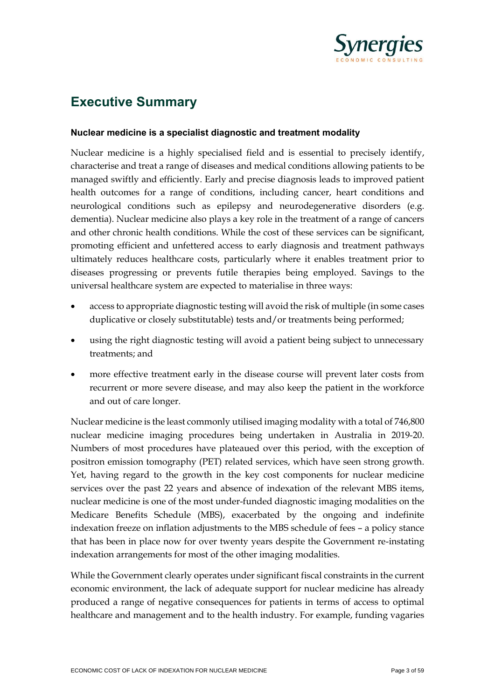

## **Executive Summary**

#### **Nuclear medicine is a specialist diagnostic and treatment modality**

Nuclear medicine is a highly specialised field and is essential to precisely identify, characterise and treat a range of diseases and medical conditions allowing patients to be managed swiftly and efficiently. Early and precise diagnosis leads to improved patient health outcomes for a range of conditions, including cancer, heart conditions and neurological conditions such as epilepsy and neurodegenerative disorders (e.g. dementia). Nuclear medicine also plays a key role in the treatment of a range of cancers and other chronic health conditions. While the cost of these services can be significant, promoting efficient and unfettered access to early diagnosis and treatment pathways ultimately reduces healthcare costs, particularly where it enables treatment prior to diseases progressing or prevents futile therapies being employed. Savings to the universal healthcare system are expected to materialise in three ways:

- access to appropriate diagnostic testing will avoid the risk of multiple (in some cases duplicative or closely substitutable) tests and/or treatments being performed;
- using the right diagnostic testing will avoid a patient being subject to unnecessary treatments; and
- more effective treatment early in the disease course will prevent later costs from recurrent or more severe disease, and may also keep the patient in the workforce and out of care longer.

Nuclear medicine is the least commonly utilised imaging modality with a total of 746,800 nuclear medicine imaging procedures being undertaken in Australia in 2019-20. Numbers of most procedures have plateaued over this period, with the exception of positron emission tomography (PET) related services, which have seen strong growth. Yet, having regard to the growth in the key cost components for nuclear medicine services over the past 22 years and absence of indexation of the relevant MBS items, nuclear medicine is one of the most under-funded diagnostic imaging modalities on the Medicare Benefits Schedule (MBS), exacerbated by the ongoing and indefinite indexation freeze on inflation adjustments to the MBS schedule of fees – a policy stance that has been in place now for over twenty years despite the Government re-instating indexation arrangements for most of the other imaging modalities.

While the Government clearly operates under significant fiscal constraints in the current economic environment, the lack of adequate support for nuclear medicine has already produced a range of negative consequences for patients in terms of access to optimal healthcare and management and to the health industry. For example, funding vagaries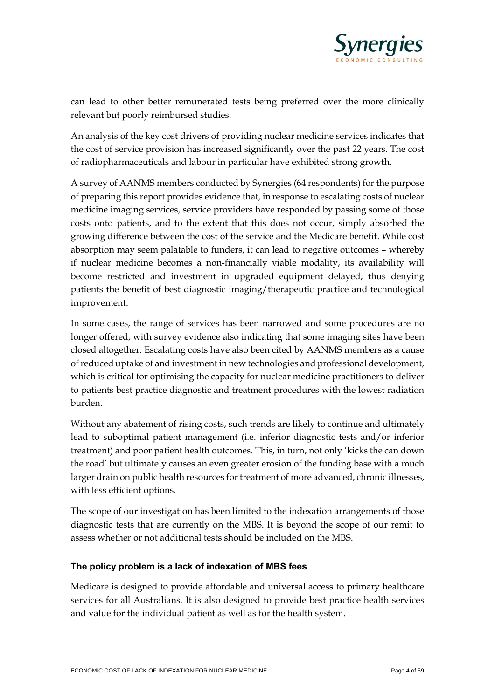

can lead to other better remunerated tests being preferred over the more clinically relevant but poorly reimbursed studies.

An analysis of the key cost drivers of providing nuclear medicine services indicates that the cost of service provision has increased significantly over the past 22 years. The cost of radiopharmaceuticals and labour in particular have exhibited strong growth.

A survey of AANMS members conducted by Synergies (64 respondents) for the purpose of preparing this report provides evidence that, in response to escalating costs of nuclear medicine imaging services, service providers have responded by passing some of those costs onto patients, and to the extent that this does not occur, simply absorbed the growing difference between the cost of the service and the Medicare benefit. While cost absorption may seem palatable to funders, it can lead to negative outcomes – whereby if nuclear medicine becomes a non-financially viable modality, its availability will become restricted and investment in upgraded equipment delayed, thus denying patients the benefit of best diagnostic imaging/therapeutic practice and technological improvement.

In some cases, the range of services has been narrowed and some procedures are no longer offered, with survey evidence also indicating that some imaging sites have been closed altogether. Escalating costs have also been cited by AANMS members as a cause of reduced uptake of and investment in new technologies and professional development, which is critical for optimising the capacity for nuclear medicine practitioners to deliver to patients best practice diagnostic and treatment procedures with the lowest radiation burden.

Without any abatement of rising costs, such trends are likely to continue and ultimately lead to suboptimal patient management (i.e. inferior diagnostic tests and/or inferior treatment) and poor patient health outcomes. This, in turn, not only 'kicks the can down the road' but ultimately causes an even greater erosion of the funding base with a much larger drain on public health resources for treatment of more advanced, chronic illnesses, with less efficient options.

The scope of our investigation has been limited to the indexation arrangements of those diagnostic tests that are currently on the MBS. It is beyond the scope of our remit to assess whether or not additional tests should be included on the MBS.

#### **The policy problem is a lack of indexation of MBS fees**

Medicare is designed to provide affordable and universal access to primary healthcare services for all Australians. It is also designed to provide best practice health services and value for the individual patient as well as for the health system.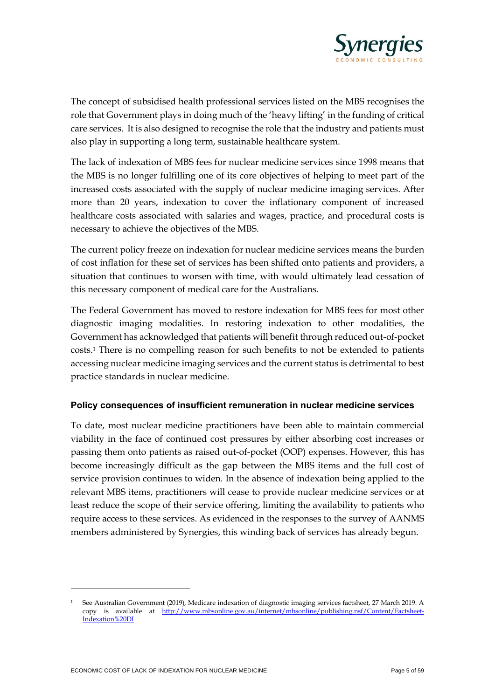

The concept of subsidised health professional services listed on the MBS recognises the role that Government plays in doing much of the 'heavy lifting' in the funding of critical care services. It is also designed to recognise the role that the industry and patients must also play in supporting a long term, sustainable healthcare system.

The lack of indexation of MBS fees for nuclear medicine services since 1998 means that the MBS is no longer fulfilling one of its core objectives of helping to meet part of the increased costs associated with the supply of nuclear medicine imaging services. After more than 20 years, indexation to cover the inflationary component of increased healthcare costs associated with salaries and wages, practice, and procedural costs is necessary to achieve the objectives of the MBS.

The current policy freeze on indexation for nuclear medicine services means the burden of cost inflation for these set of services has been shifted onto patients and providers, a situation that continues to worsen with time, with would ultimately lead cessation of this necessary component of medical care for the Australians.

The Federal Government has moved to restore indexation for MBS fees for most other diagnostic imaging modalities. In restoring indexation to other modalities, the Government has acknowledged that patients will benefit through reduced out-of-pocket costs.<sup>1</sup> There is no compelling reason for such benefits to not be extended to patients accessing nuclear medicine imaging services and the current status is detrimental to best practice standards in nuclear medicine.

#### **Policy consequences of insufficient remuneration in nuclear medicine services**

To date, most nuclear medicine practitioners have been able to maintain commercial viability in the face of continued cost pressures by either absorbing cost increases or passing them onto patients as raised out-of-pocket (OOP) expenses. However, this has become increasingly difficult as the gap between the MBS items and the full cost of service provision continues to widen. In the absence of indexation being applied to the relevant MBS items, practitioners will cease to provide nuclear medicine services or at least reduce the scope of their service offering, limiting the availability to patients who require access to these services. As evidenced in the responses to the survey of AANMS members administered by Synergies, this winding back of services has already begun.

<sup>1</sup> See Australian Government (2019), Medicare indexation of diagnostic imaging services factsheet, 27 March 2019. A copy is available at [http://www.mbsonline.gov.au/internet/mbsonline/publishing.nsf/Content/Factsheet-](about:blank)[Indexation%20DI](about:blank)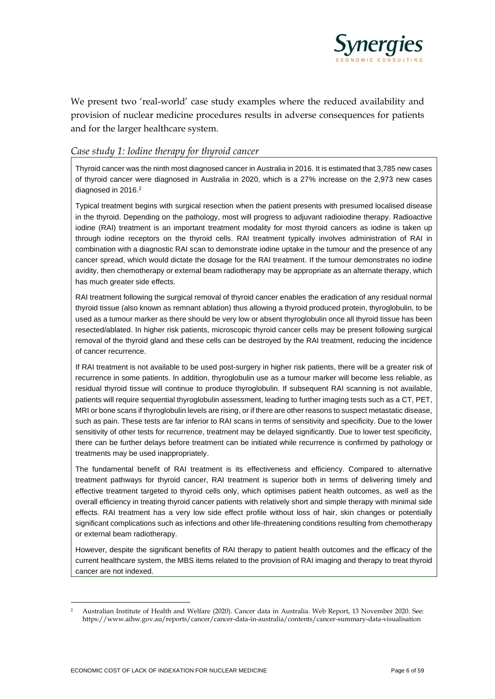

We present two 'real-world' case study examples where the reduced availability and provision of nuclear medicine procedures results in adverse consequences for patients and for the larger healthcare system.

#### *Case study 1: Iodine therapy for thyroid cancer*

Thyroid cancer was the ninth most diagnosed cancer in Australia in 2016. It is estimated that 3,785 new cases of thyroid cancer were diagnosed in Australia in 2020, which is a 27% increase on the 2,973 new cases diagnosed in 2016.<sup>2</sup>

Typical treatment begins with surgical resection when the patient presents with presumed localised disease in the thyroid. Depending on the pathology, most will progress to adjuvant radioiodine therapy. Radioactive iodine (RAI) treatment is an important treatment modality for most thyroid cancers as iodine is taken up through iodine receptors on the thyroid cells. RAI treatment typically involves administration of RAI in combination with a diagnostic RAI scan to demonstrate iodine uptake in the tumour and the presence of any cancer spread, which would dictate the dosage for the RAI treatment. If the tumour demonstrates no iodine avidity, then chemotherapy or external beam radiotherapy may be appropriate as an alternate therapy, which has much greater side effects.

RAI treatment following the surgical removal of thyroid cancer enables the eradication of any residual normal thyroid tissue (also known as remnant ablation) thus allowing a thyroid produced protein, thyroglobulin, to be used as a tumour marker as there should be very low or absent thyroglobulin once all thyroid tissue has been resected/ablated. In higher risk patients, microscopic thyroid cancer cells may be present following surgical removal of the thyroid gland and these cells can be destroyed by the RAI treatment, reducing the incidence of cancer recurrence.

If RAI treatment is not available to be used post-surgery in higher risk patients, there will be a greater risk of recurrence in some patients. In addition, thyroglobulin use as a tumour marker will become less reliable, as residual thyroid tissue will continue to produce thyroglobulin. If subsequent RAI scanning is not available, patients will require sequential thyroglobulin assessment, leading to further imaging tests such as a CT, PET, MRI or bone scans if thyroglobulin levels are rising, or if there are other reasons to suspect metastatic disease, such as pain. These tests are far inferior to RAI scans in terms of sensitivity and specificity. Due to the lower sensitivity of other tests for recurrence, treatment may be delayed significantly. Due to lower test specificity, there can be further delays before treatment can be initiated while recurrence is confirmed by pathology or treatments may be used inappropriately.

The fundamental benefit of RAI treatment is its effectiveness and efficiency. Compared to alternative treatment pathways for thyroid cancer, RAI treatment is superior both in terms of delivering timely and effective treatment targeted to thyroid cells only, which optimises patient health outcomes, as well as the overall efficiency in treating thyroid cancer patients with relatively short and simple therapy with minimal side effects. RAI treatment has a very low side effect profile without loss of hair, skin changes or potentially significant complications such as infections and other life-threatening conditions resulting from chemotherapy or external beam radiotherapy.

However, despite the significant benefits of RAI therapy to patient health outcomes and the efficacy of the current healthcare system, the MBS items related to the provision of RAI imaging and therapy to treat thyroid cancer are not indexed.

<sup>2</sup> Australian Institute of Health and Welfare (2020). Cancer data in Australia. Web Report, 13 November 2020. See: https://www.aihw.gov.au/reports/cancer/cancer-data-in-australia/contents/cancer-summary-data-visualisation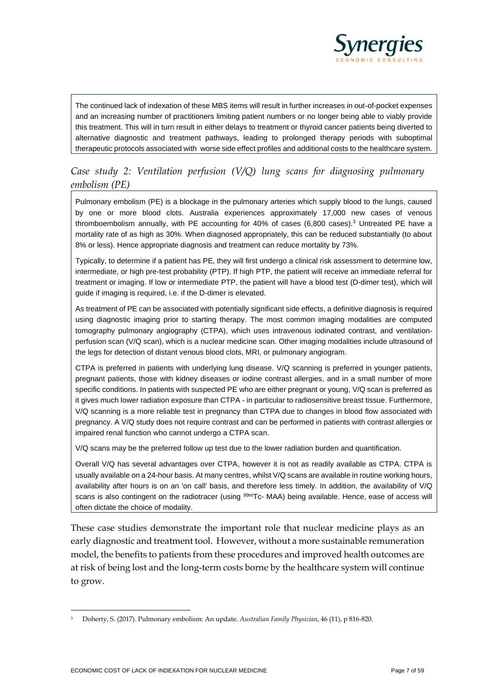

The continued lack of indexation of these MBS items will result in further increases in out-of-pocket expenses and an increasing number of practitioners limiting patient numbers or no longer being able to viably provide this treatment. This will in turn result in either delays to treatment or thyroid cancer patients being diverted to alternative diagnostic and treatment pathways, leading to prolonged therapy periods with suboptimal therapeutic protocols associated with worse side effect profiles and additional costs to the healthcare system.

### *Case study 2: Ventilation perfusion (V/Q) lung scans for diagnosing pulmonary embolism (PE)*

Pulmonary embolism (PE) is a blockage in the pulmonary arteries which supply blood to the lungs, caused by one or more blood clots. Australia experiences approximately 17,000 new cases of venous thromboembolism annually, with PE accounting for 40% of cases (6,800 cases).<sup>3</sup> Untreated PE have a mortality rate of as high as 30%. When diagnosed appropriately, this can be reduced substantially (to about 8% or less). Hence appropriate diagnosis and treatment can reduce mortality by 73%.

Typically, to determine if a patient has PE, they will first undergo a clinical risk assessment to determine low, intermediate, or high pre-test probability (PTP). If high PTP, the patient will receive an immediate referral for treatment or imaging. If low or intermediate PTP, the patient will have a blood test (D-dimer test), which will guide if imaging is required, i.e. if the D-dimer is elevated.

As treatment of PE can be associated with potentially significant side effects, a definitive diagnosis is required using diagnostic imaging prior to starting therapy. The most common imaging modalities are computed tomography pulmonary angiography (CTPA), which uses intravenous iodinated contrast, and ventilationperfusion scan (V/Q scan), which is a nuclear medicine scan. Other imaging modalities include ultrasound of the legs for detection of distant venous blood clots, MRI, or pulmonary angiogram.

CTPA is preferred in patients with underlying lung disease. V/Q scanning is preferred in younger patients, pregnant patients, those with kidney diseases or iodine contrast allergies, and in a small number of more specific conditions. In patients with suspected PE who are either pregnant or young, V/Q scan is preferred as it gives much lower radiation exposure than CTPA - in particular to radiosensitive breast tissue. Furthermore, V/Q scanning is a more reliable test in pregnancy than CTPA due to changes in blood flow associated with pregnancy. A V/Q study does not require contrast and can be performed in patients with contrast allergies or impaired renal function who cannot undergo a CTPA scan.

V/Q scans may be the preferred follow up test due to the lower radiation burden and quantification.

Overall V/Q has several advantages over CTPA, however it is not as readily available as CTPA. CTPA is usually available on a 24-hour basis. At many centres, whilst V/Q scans are available in routine working hours, availability after hours is on an 'on call' basis, and therefore less timely. In addition, the availability of V/Q scans is also contingent on the radiotracer (using <sup>99m</sup>Tc- MAA) being available. Hence, ease of access will often dictate the choice of modality.

These case studies demonstrate the important role that nuclear medicine plays as an early diagnostic and treatment tool. However, without a more sustainable remuneration model, the benefits to patients from these procedures and improved health outcomes are at risk of being lost and the long-term costs borne by the healthcare system will continue to grow.

<sup>3</sup> Doherty, S. (2017). Pulmonary embolism: An update. *Australian Family Physician*, 46 (11), p 816-820.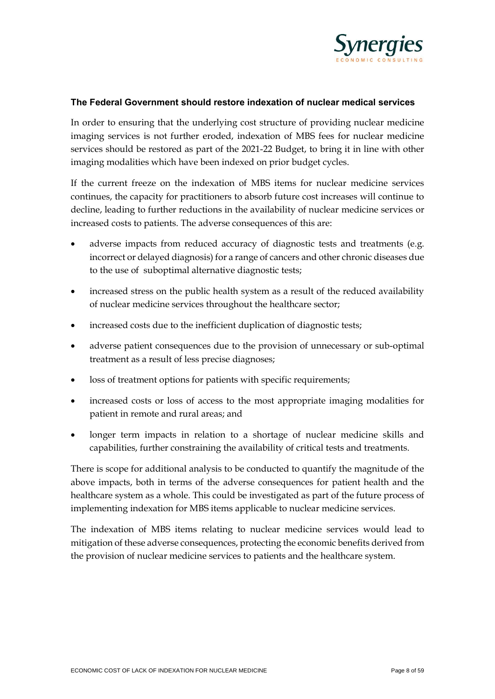

#### **The Federal Government should restore indexation of nuclear medical services**

In order to ensuring that the underlying cost structure of providing nuclear medicine imaging services is not further eroded, indexation of MBS fees for nuclear medicine services should be restored as part of the 2021-22 Budget, to bring it in line with other imaging modalities which have been indexed on prior budget cycles.

If the current freeze on the indexation of MBS items for nuclear medicine services continues, the capacity for practitioners to absorb future cost increases will continue to decline, leading to further reductions in the availability of nuclear medicine services or increased costs to patients. The adverse consequences of this are:

- adverse impacts from reduced accuracy of diagnostic tests and treatments (e.g. incorrect or delayed diagnosis) for a range of cancers and other chronic diseases due to the use of suboptimal alternative diagnostic tests;
- increased stress on the public health system as a result of the reduced availability of nuclear medicine services throughout the healthcare sector;
- increased costs due to the inefficient duplication of diagnostic tests;
- adverse patient consequences due to the provision of unnecessary or sub-optimal treatment as a result of less precise diagnoses;
- loss of treatment options for patients with specific requirements;
- increased costs or loss of access to the most appropriate imaging modalities for patient in remote and rural areas; and
- longer term impacts in relation to a shortage of nuclear medicine skills and capabilities, further constraining the availability of critical tests and treatments.

There is scope for additional analysis to be conducted to quantify the magnitude of the above impacts, both in terms of the adverse consequences for patient health and the healthcare system as a whole. This could be investigated as part of the future process of implementing indexation for MBS items applicable to nuclear medicine services.

The indexation of MBS items relating to nuclear medicine services would lead to mitigation of these adverse consequences, protecting the economic benefits derived from the provision of nuclear medicine services to patients and the healthcare system.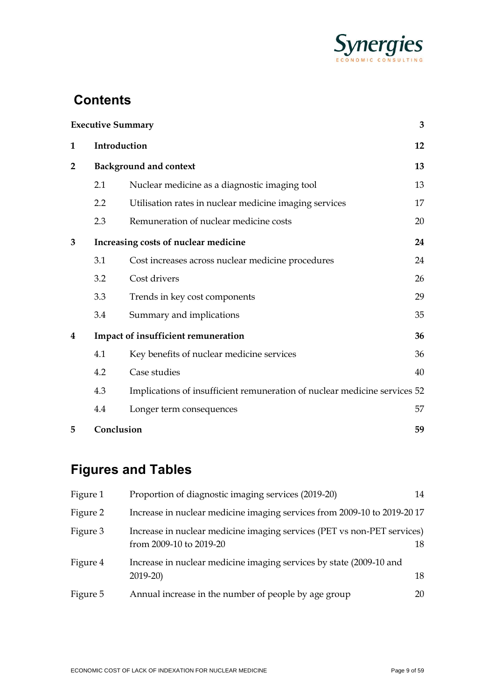

# **Contents**

|                |     | <b>Executive Summary</b>                                                  | 3  |  |  |
|----------------|-----|---------------------------------------------------------------------------|----|--|--|
| 1              |     | Introduction                                                              | 12 |  |  |
| $\overline{2}$ |     | <b>Background and context</b>                                             |    |  |  |
|                | 2.1 | Nuclear medicine as a diagnostic imaging tool                             | 13 |  |  |
|                | 2.2 | Utilisation rates in nuclear medicine imaging services                    | 17 |  |  |
|                | 2.3 | Remuneration of nuclear medicine costs                                    | 20 |  |  |
| 3              |     | Increasing costs of nuclear medicine                                      | 24 |  |  |
|                | 3.1 | Cost increases across nuclear medicine procedures                         | 24 |  |  |
|                | 3.2 | Cost drivers                                                              | 26 |  |  |
|                | 3.3 | Trends in key cost components                                             | 29 |  |  |
|                | 3.4 | Summary and implications                                                  | 35 |  |  |
| 4              |     | Impact of insufficient remuneration                                       | 36 |  |  |
|                | 4.1 | Key benefits of nuclear medicine services                                 | 36 |  |  |
|                | 4.2 | Case studies                                                              | 40 |  |  |
|                | 4.3 | Implications of insufficient remuneration of nuclear medicine services 52 |    |  |  |
|                | 4.4 | Longer term consequences                                                  | 57 |  |  |
| 5              |     | Conclusion                                                                | 59 |  |  |

# **Figures and Tables**

| Figure 1 | Proportion of diagnostic imaging services (2019-20)                                                | 14 |
|----------|----------------------------------------------------------------------------------------------------|----|
| Figure 2 | Increase in nuclear medicine imaging services from 2009-10 to 2019-2017                            |    |
| Figure 3 | Increase in nuclear medicine imaging services (PET vs non-PET services)<br>from 2009-10 to 2019-20 | 18 |
| Figure 4 | Increase in nuclear medicine imaging services by state (2009-10 and<br>$2019-20$                   | 18 |
| Figure 5 | Annual increase in the number of people by age group                                               | 20 |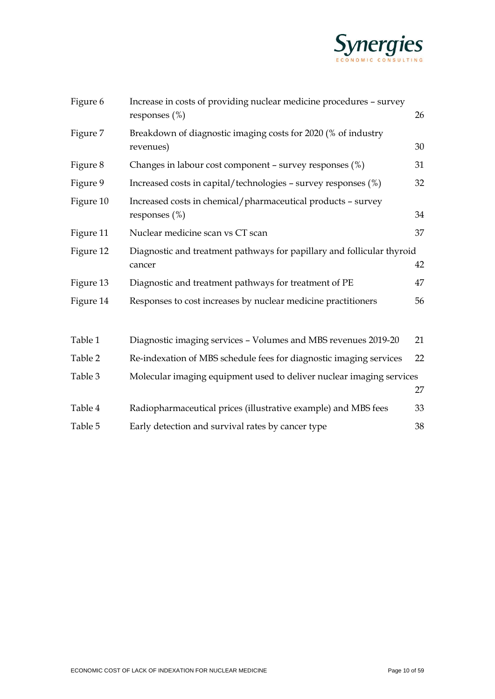

| Figure 6  | Increase in costs of providing nuclear medicine procedures - survey<br>responses $(\%)$ | 26 |
|-----------|-----------------------------------------------------------------------------------------|----|
| Figure 7  | Breakdown of diagnostic imaging costs for 2020 (% of industry<br>revenues)              | 30 |
| Figure 8  | Changes in labour cost component - survey responses (%)                                 | 31 |
| Figure 9  | Increased costs in capital/technologies - survey responses (%)                          | 32 |
| Figure 10 | Increased costs in chemical/pharmaceutical products - survey<br>responses $(\%)$        | 34 |
| Figure 11 | Nuclear medicine scan vs CT scan                                                        | 37 |
| Figure 12 | Diagnostic and treatment pathways for papillary and follicular thyroid<br>cancer        | 42 |
| Figure 13 | Diagnostic and treatment pathways for treatment of PE                                   | 47 |
| Figure 14 | Responses to cost increases by nuclear medicine practitioners                           | 56 |
| Table 1   | Diagnostic imaging services - Volumes and MBS revenues 2019-20                          | 21 |
| Table 2   | Re-indexation of MBS schedule fees for diagnostic imaging services                      | 22 |
| Table 3   | Molecular imaging equipment used to deliver nuclear imaging services                    | 27 |
| Table 4   | Radiopharmaceutical prices (illustrative example) and MBS fees                          | 33 |
| Table 5   | Early detection and survival rates by cancer type                                       | 38 |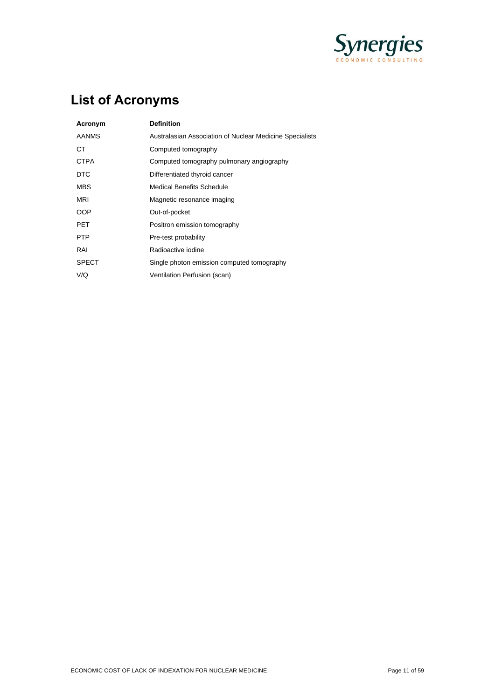

# **List of Acronyms**

| Acronym      | <b>Definition</b>                                        |
|--------------|----------------------------------------------------------|
| <b>AANMS</b> | Australasian Association of Nuclear Medicine Specialists |
| СT           | Computed tomography                                      |
| <b>CTPA</b>  | Computed tomography pulmonary angiography                |
| <b>DTC</b>   | Differentiated thyroid cancer                            |
| MBS          | Medical Benefits Schedule                                |
| MRI          | Magnetic resonance imaging                               |
| <b>OOP</b>   | Out-of-pocket                                            |
| PET          | Positron emission tomography                             |
| <b>PTP</b>   | Pre-test probability                                     |
| RAI          | Radioactive iodine                                       |
| <b>SPECT</b> | Single photon emission computed tomography               |
| V/Q          | Ventilation Perfusion (scan)                             |
|              |                                                          |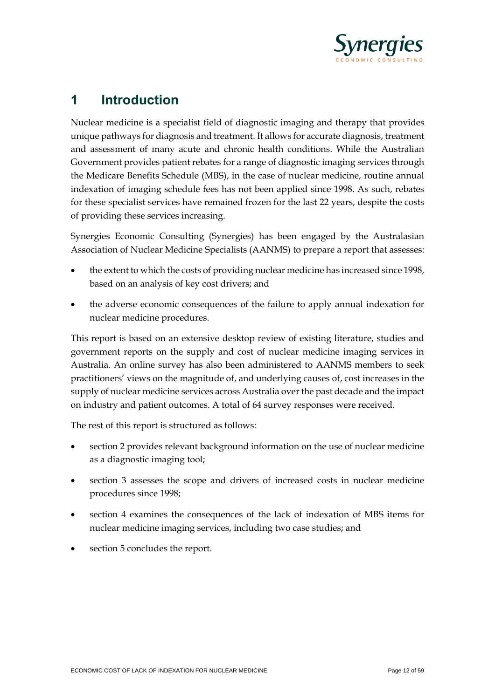

## **1 Introduction**

Nuclear medicine is a specialist field of diagnostic imaging and therapy that provides unique pathways for diagnosis and treatment. It allows for accurate diagnosis, treatment and assessment of many acute and chronic health conditions. While the Australian Government provides patient rebates for a range of diagnostic imaging services through the Medicare Benefits Schedule (MBS), in the case of nuclear medicine, routine annual indexation of imaging schedule fees has not been applied since 1998. As such, rebates for these specialist services have remained frozen for the last 22 years, despite the costs of providing these services increasing.

Synergies Economic Consulting (Synergies) has been engaged by the Australasian Association of Nuclear Medicine Specialists (AANMS) to prepare a report that assesses:

- the extent to which the costs of providing nuclear medicine has increased since 1998, based on an analysis of key cost drivers; and
- the adverse economic consequences of the failure to apply annual indexation for nuclear medicine procedures.

This report is based on an extensive desktop review of existing literature, studies and government reports on the supply and cost of nuclear medicine imaging services in Australia. An online survey has also been administered to AANMS members to seek practitioners' views on the magnitude of, and underlying causes of, cost increases in the supply of nuclear medicine services across Australia over the past decade and the impact on industry and patient outcomes. A total of 64 survey responses were received.

The rest of this report is structured as follows:

- section 2 provides relevant background information on the use of nuclear medicine as a diagnostic imaging tool;
- section 3 assesses the scope and drivers of increased costs in nuclear medicine procedures since 1998;
- section 4 examines the consequences of the lack of indexation of MBS items for nuclear medicine imaging services, including two case studies; and
- section 5 concludes the report.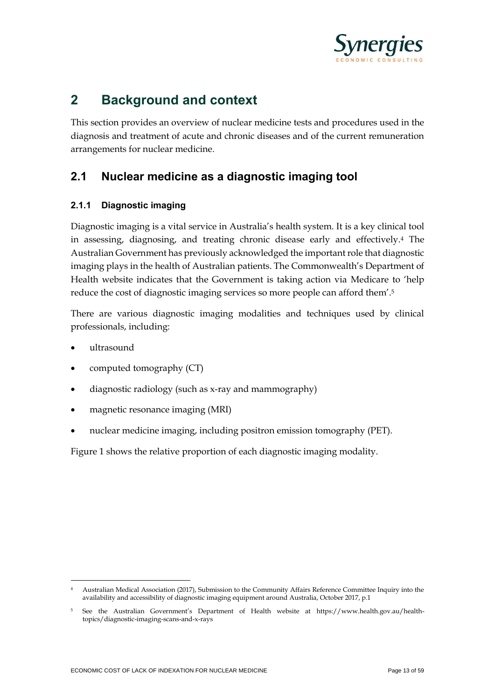

## **2 Background and context**

This section provides an overview of nuclear medicine tests and procedures used in the diagnosis and treatment of acute and chronic diseases and of the current remuneration arrangements for nuclear medicine.

## **2.1 Nuclear medicine as a diagnostic imaging tool**

#### **2.1.1 Diagnostic imaging**

Diagnostic imaging is a vital service in Australia's health system. It is a key clinical tool in assessing, diagnosing, and treating chronic disease early and effectively.<sup>4</sup> The Australian Government has previously acknowledged the important role that diagnostic imaging plays in the health of Australian patients. The Commonwealth's Department of Health website indicates that the Government is taking action via Medicare to 'help reduce the cost of diagnostic imaging services so more people can afford them'.<sup>5</sup>

There are various diagnostic imaging modalities and techniques used by clinical professionals, including:

- ultrasound
- computed tomography (CT)
- diagnostic radiology (such as x-ray and mammography)
- magnetic resonance imaging (MRI)
- nuclear medicine imaging, including positron emission tomography (PET).

Figure 1 shows the relative proportion of each diagnostic imaging modality.

<sup>4</sup> Australian Medical Association (2017), Submission to the Community Affairs Reference Committee Inquiry into the availability and accessibility of diagnostic imaging equipment around Australia, October 2017, p.1

<sup>5</sup> See the Australian Government's Department of Health website at https://www.health.gov.au/healthtopics/diagnostic-imaging-scans-and-x-rays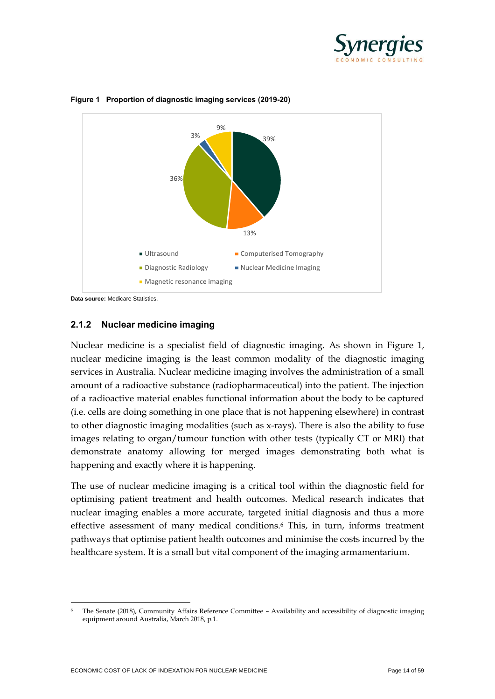



<span id="page-13-0"></span>**Figure 1 Proportion of diagnostic imaging services (2019-20)**

#### **2.1.2 Nuclear medicine imaging**

Nuclear medicine is a specialist field of diagnostic imaging. As shown in Figure 1, nuclear medicine imaging is the least common modality of the diagnostic imaging services in Australia. Nuclear medicine imaging involves the administration of a small amount of a radioactive substance (radiopharmaceutical) into the patient. The injection of a radioactive material enables functional information about the body to be captured (i.e. cells are doing something in one place that is not happening elsewhere) in contrast to other diagnostic imaging modalities (such as x-rays). There is also the ability to fuse images relating to organ/tumour function with other tests (typically CT or MRI) that demonstrate anatomy allowing for merged images demonstrating both what is happening and exactly where it is happening.

The use of nuclear medicine imaging is a critical tool within the diagnostic field for optimising patient treatment and health outcomes. Medical research indicates that nuclear imaging enables a more accurate, targeted initial diagnosis and thus a more effective assessment of many medical conditions.<sup>6</sup> This, in turn, informs treatment pathways that optimise patient health outcomes and minimise the costs incurred by the healthcare system. It is a small but vital component of the imaging armamentarium.

**Data source:** Medicare Statistics.

<sup>6</sup> The Senate (2018), Community Affairs Reference Committee – Availability and accessibility of diagnostic imaging equipment around Australia, March 2018, p.1.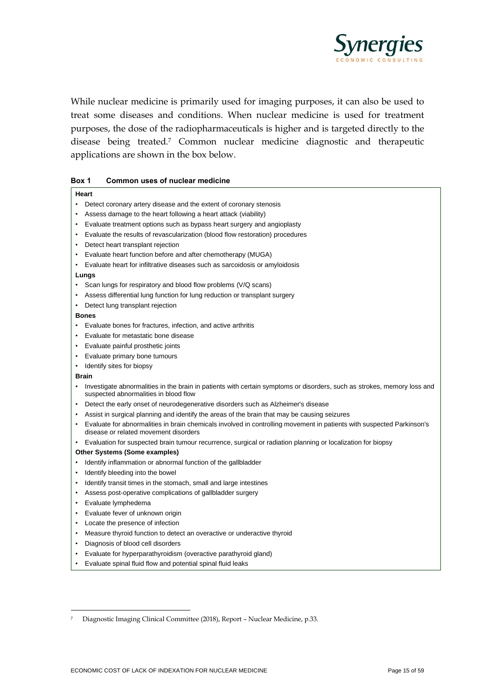

While nuclear medicine is primarily used for imaging purposes, it can also be used to treat some diseases and conditions. When nuclear medicine is used for treatment purposes, the dose of the radiopharmaceuticals is higher and is targeted directly to the disease being treated.<sup>7</sup> Common nuclear medicine diagnostic and therapeutic applications are shown in the box below.

| Box 1 |  | Common uses of nuclear medicine |
|-------|--|---------------------------------|
|       |  |                                 |

|           | Heart                                                                                                                                                            |
|-----------|------------------------------------------------------------------------------------------------------------------------------------------------------------------|
| $\bullet$ | Detect coronary artery disease and the extent of coronary stenosis                                                                                               |
|           | Assess damage to the heart following a heart attack (viability)                                                                                                  |
| $\bullet$ | Evaluate treatment options such as bypass heart surgery and angioplasty                                                                                          |
|           | Evaluate the results of revascularization (blood flow restoration) procedures                                                                                    |
| $\bullet$ | Detect heart transplant rejection                                                                                                                                |
|           | Evaluate heart function before and after chemotherapy (MUGA)                                                                                                     |
| $\bullet$ | Evaluate heart for infiltrative diseases such as sarcoidosis or amyloidosis                                                                                      |
|           |                                                                                                                                                                  |
| $\bullet$ | Lungs                                                                                                                                                            |
|           | Scan lungs for respiratory and blood flow problems (V/Q scans)                                                                                                   |
|           | Assess differential lung function for lung reduction or transplant surgery                                                                                       |
|           | Detect lung transplant rejection                                                                                                                                 |
|           | <b>Bones</b>                                                                                                                                                     |
|           | Evaluate bones for fractures, infection, and active arthritis                                                                                                    |
|           | Evaluate for metastatic bone disease                                                                                                                             |
| $\bullet$ | Evaluate painful prosthetic joints                                                                                                                               |
| $\bullet$ | Evaluate primary bone tumours                                                                                                                                    |
|           | Identify sites for biopsy                                                                                                                                        |
|           | <b>Brain</b>                                                                                                                                                     |
|           | Investigate abnormalities in the brain in patients with certain symptoms or disorders, such as strokes, memory loss and<br>suspected abnormalities in blood flow |
|           | Detect the early onset of neurodegenerative disorders such as Alzheimer's disease                                                                                |
|           | Assist in surgical planning and identify the areas of the brain that may be causing seizures                                                                     |
|           | Evaluate for abnormalities in brain chemicals involved in controlling movement in patients with suspected Parkinson's<br>disease or related movement disorders   |
| $\bullet$ | Evaluation for suspected brain tumour recurrence, surgical or radiation planning or localization for biopsy                                                      |
|           | Other Systems (Some examples)                                                                                                                                    |
|           | Identify inflammation or abnormal function of the gallbladder                                                                                                    |
| $\bullet$ | Identify bleeding into the bowel                                                                                                                                 |
| $\bullet$ | Identify transit times in the stomach, small and large intestines                                                                                                |
| $\bullet$ | Assess post-operative complications of gallbladder surgery                                                                                                       |
| $\bullet$ | Evaluate lymphedema                                                                                                                                              |
| $\bullet$ | Evaluate fever of unknown origin                                                                                                                                 |
| $\bullet$ | Locate the presence of infection                                                                                                                                 |
| $\bullet$ | Measure thyroid function to detect an overactive or underactive thyroid                                                                                          |
| $\bullet$ | Diagnosis of blood cell disorders                                                                                                                                |
|           | Evaluate for hyperparathyroidism (overactive parathyroid gland)                                                                                                  |
| $\bullet$ | Evaluate spinal fluid flow and potential spinal fluid leaks                                                                                                      |

<sup>7</sup> Diagnostic Imaging Clinical Committee (2018), Report – Nuclear Medicine, p.33.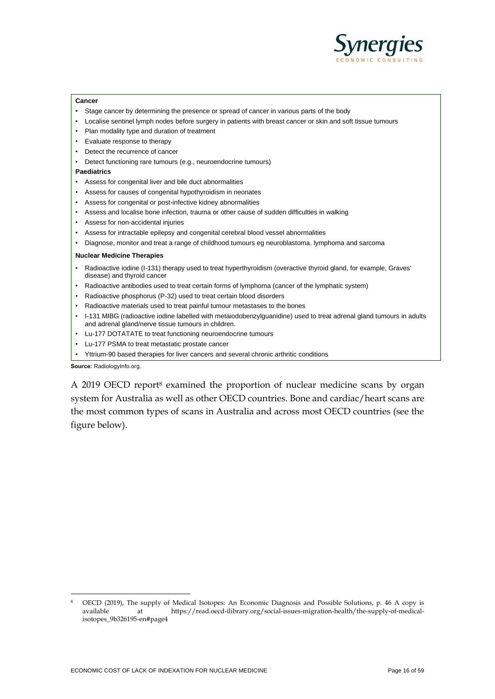

#### **Cancer**

- Stage cancer by determining the presence or spread of cancer in various parts of the body
- Localise sentinel lymph nodes before surgery in patients with breast cancer or skin and soft tissue tumours
- Plan modality type and duration of treatment
- Evaluate response to therapy
- Detect the recurrence of cancer
- Detect functioning rare tumours (e.g., neuroendocrine tumours)

#### **Paediatrics**

- Assess for congenital liver and bile duct abnormalities
- Assess for causes of congenital hypothyroidism in neonates
- Assess for congenital or post-infective kidney abnormalities
- Assess and localise bone infection, trauma or other cause of sudden difficulties in walking
- Assess for non-accidental injuries
- Assess for intractable epilepsy and congenital cerebral blood vessel abnormalities
- Diagnose, monitor and treat a range of childhood tumours eg neuroblastoma. lymphoma and sarcoma

#### **Nuclear Medicine Therapies**

- Radioactive iodine (I-131) therapy used to treat hyperthyroidism (overactive thyroid gland, for example, Graves' disease) and thyroid cancer
- Radioactive antibodies used to treat certain forms of lymphoma (cancer of the lymphatic system)
- Radioactive phosphorus (P-32) used to treat certain blood disorders
- Radioactive materials used to treat painful tumour metastases to the bones
- I-131 MIBG (radioactive iodine labelled with metaiodobenzylguanidine) used to treat adrenal gland tumours in adults and adrenal gland/nerve tissue tumours in children.
- Lu-177 DOTATATE to treat functioning neuroendocrine tumours
- Lu-177 PSMA to treat metastatic prostate cancer
- Yttrium-90 based therapies for liver cancers and several chronic arthritic conditions

**Source:** RadiologyInfo.org.

A 2019 OECD report<sup>8</sup> examined the proportion of nuclear medicine scans by organ system for Australia as well as other OECD countries. Bone and cardiac/heart scans are the most common types of scans in Australia and across most OECD countries (see the figure below).

<sup>8</sup> OECD (2019), The supply of Medical Isotopes: An Economic Diagnosis and Possible Solutions, p. 46 A copy is available at https://read.oecd-ilibrary.org/social-issues-migration-health/the-supply-of-medicalisotopes\_9b326195-en#page4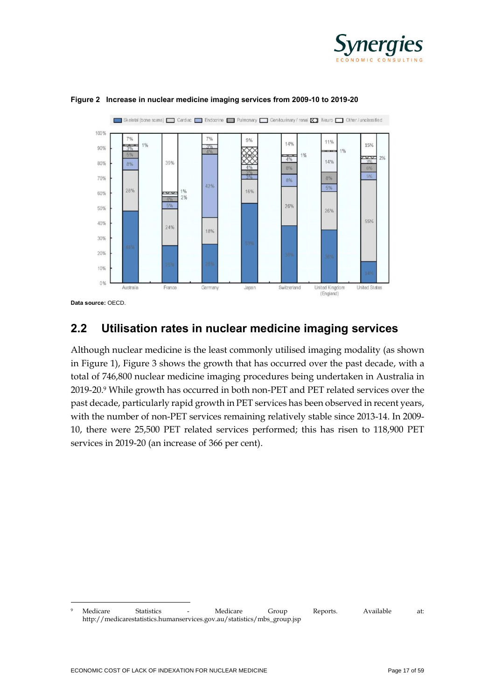



<span id="page-16-0"></span>

**Data source:** OECD.

## **2.2 Utilisation rates in nuclear medicine imaging services**

Although nuclear medicine is the least commonly utilised imaging modality (as shown in Figure 1), Figure 3 shows the growth that has occurred over the past decade, with a total of 746,800 nuclear medicine imaging procedures being undertaken in Australia in 2019-20.<sup>9</sup> While growth has occurred in both non-PET and PET related services over the past decade, particularly rapid growth in PET services has been observed in recent years, with the number of non-PET services remaining relatively stable since 2013-14. In 2009- 10, there were 25,500 PET related services performed; this has risen to 118,900 PET services in 2019-20 (an increase of 366 per cent).

<sup>9</sup> Medicare Statistics - Medicare Group Reports. Available at: http://medicarestatistics.humanservices.gov.au/statistics/mbs\_group.jsp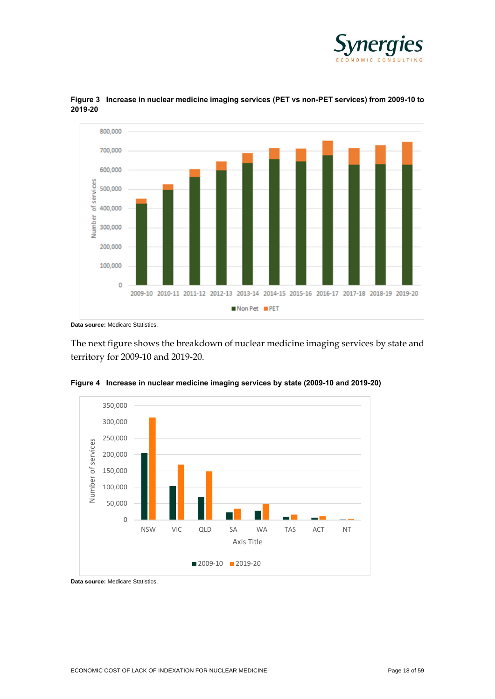



<span id="page-17-0"></span>

The next figure shows the breakdown of nuclear medicine imaging services by state and territory for 2009-10 and 2019-20.



<span id="page-17-1"></span>**Figure 4 Increase in nuclear medicine imaging services by state (2009-10 and 2019-20)**

**Data source:** Medicare Statistics.

**Data source:** Medicare Statistics.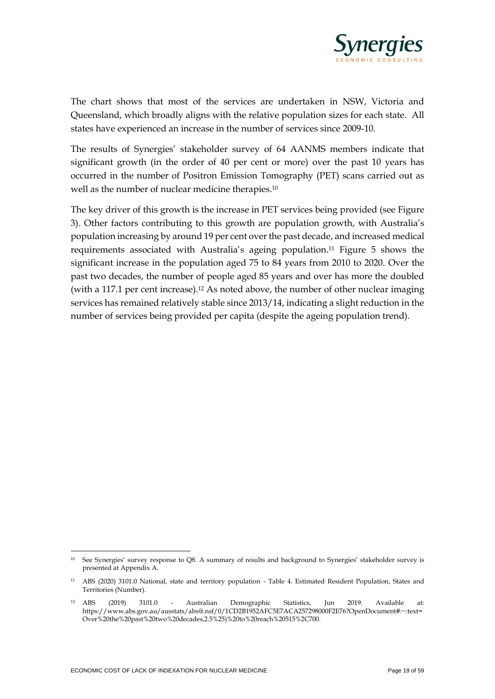

The chart shows that most of the services are undertaken in NSW, Victoria and Queensland, which broadly aligns with the relative population sizes for each state. All states have experienced an increase in the number of services since 2009-10.

The results of Synergies' stakeholder survey of 64 AANMS members indicate that significant growth (in the order of 40 per cent or more) over the past 10 years has occurred in the number of Positron Emission Tomography (PET) scans carried out as well as the number of nuclear medicine therapies.<sup>10</sup>

The key driver of this growth is the increase in PET services being provided (see Figure 3). Other factors contributing to this growth are population growth, with Australia's population increasing by around 19 per cent over the past decade, and increased medical requirements associated with Australia's ageing population. <sup>11</sup> Figure 5 shows the significant increase in the population aged 75 to 84 years from 2010 to 2020. Over the past two decades, the number of people aged 85 years and over has more the doubled (with a 117.1 per cent increase). <sup>12</sup> As noted above, the number of other nuclear imaging services has remained relatively stable since 2013/14, indicating a slight reduction in the number of services being provided per capita (despite the ageing population trend).

<sup>10</sup> See Synergies' survey response to Q8. A summary of results and background to Synergies' stakeholder survey is presented at Appendix A.

<sup>11</sup> ABS (2020) 3101.0 National, state and territory population - Table 4. Estimated Resident Population, States and Territories (Number).

<sup>12</sup> ABS (2019) 3101.0 - Australian Demographic Statistics, Jun 2019. Available at: https://www.abs.gov.au/ausstats/abs@.nsf/0/1CD2B1952AFC5E7ACA257298000F2E76?OpenDocument#:~:text= Over%20the%20past%20two%20decades,2.5%25)%20to%20reach%20515%2C700.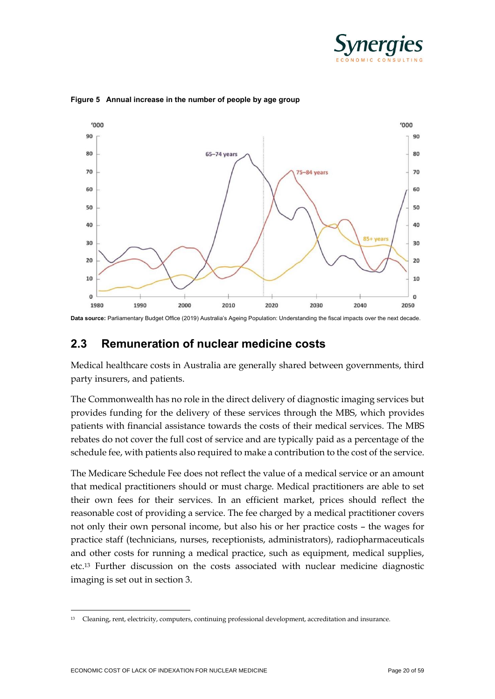



<span id="page-19-0"></span>**Figure 5 Annual increase in the number of people by age group**

**Data source:** Parliamentary Budget Office (2019) Australia's Ageing Population: Understanding the fiscal impacts over the next decade.

### **2.3 Remuneration of nuclear medicine costs**

Medical healthcare costs in Australia are generally shared between governments, third party insurers, and patients.

The Commonwealth has no role in the direct delivery of diagnostic imaging services but provides funding for the delivery of these services through the MBS, which provides patients with financial assistance towards the costs of their medical services. The MBS rebates do not cover the full cost of service and are typically paid as a percentage of the schedule fee, with patients also required to make a contribution to the cost of the service.

The Medicare Schedule Fee does not reflect the value of a medical service or an amount that medical practitioners should or must charge. Medical practitioners are able to set their own fees for their services. In an efficient market, prices should reflect the reasonable cost of providing a service. The fee charged by a medical practitioner covers not only their own personal income, but also his or her practice costs – the wages for practice staff (technicians, nurses, receptionists, administrators), radiopharmaceuticals and other costs for running a medical practice, such as equipment, medical supplies, etc.<sup>13</sup> Further discussion on the costs associated with nuclear medicine diagnostic imaging is set out in section 3.

<sup>13</sup> Cleaning, rent, electricity, computers, continuing professional development, accreditation and insurance.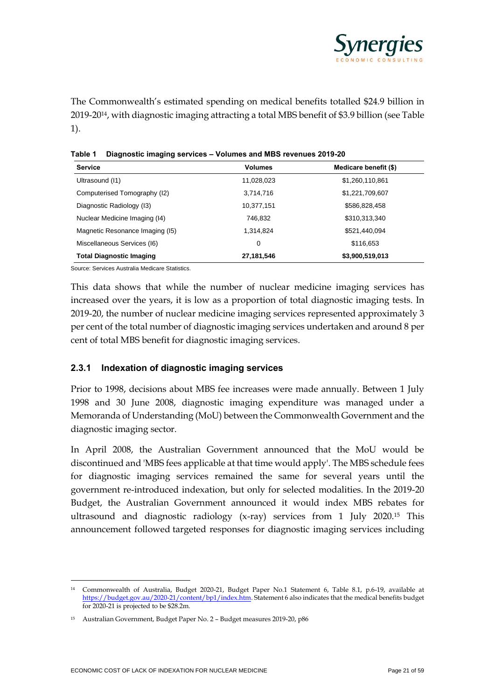

The Commonwealth's estimated spending on medical benefits totalled \$24.9 billion in 2019-2014, with diagnostic imaging attracting a total MBS benefit of \$3.9 billion (see Table 1).

| <b>Service</b>                  | <b>Volumes</b> | Medicare benefit (\$) |
|---------------------------------|----------------|-----------------------|
| Ultrasound (11)                 | 11,028,023     | \$1,260,110,861       |
| Computerised Tomography (I2)    | 3,714,716      | \$1,221,709,607       |
| Diagnostic Radiology (13)       | 10,377,151     | \$586,828,458         |
| Nuclear Medicine Imaging (14)   | 746.832        | \$310,313,340         |
| Magnetic Resonance Imaging (15) | 1,314,824      | \$521,440,094         |
| Miscellaneous Services (I6)     | 0              | \$116,653             |
| <b>Total Diagnostic Imaging</b> | 27,181,546     | \$3,900,519,013       |

<span id="page-20-0"></span>**Table 1 Diagnostic imaging services – Volumes and MBS revenues 2019-20**

Source: Services Australia Medicare Statistics.

This data shows that while the number of nuclear medicine imaging services has increased over the years, it is low as a proportion of total diagnostic imaging tests. In 2019-20, the number of nuclear medicine imaging services represented approximately 3 per cent of the total number of diagnostic imaging services undertaken and around 8 per cent of total MBS benefit for diagnostic imaging services.

#### **2.3.1 Indexation of diagnostic imaging services**

Prior to 1998, decisions about MBS fee increases were made annually. Between 1 July 1998 and 30 June 2008, diagnostic imaging expenditure was managed under a Memoranda of Understanding (MoU) between the Commonwealth Government and the diagnostic imaging sector.

In April 2008, the Australian Government announced that the MoU would be discontinued and 'MBS fees applicable at that time would apply'. The MBS schedule fees for diagnostic imaging services remained the same for several years until the government re-introduced indexation, but only for selected modalities. In the 2019-20 Budget, the Australian Government announced it would index MBS rebates for ultrasound and diagnostic radiology (x-ray) services from 1 July 2020.<sup>15</sup> This announcement followed targeted responses for diagnostic imaging services including

<sup>14</sup> Commonwealth of Australia, Budget 2020-21, Budget Paper No.1 Statement 6, Table 8.1, p.6-19, available at [https://budget.gov.au/2020-21/content/bp1/index.htm.](about:blank) Statement 6 also indicates that the medical benefits budget for 2020-21 is projected to be \$28.2m.

<sup>15</sup> Australian Government, Budget Paper No. 2 – Budget measures 2019-20, p86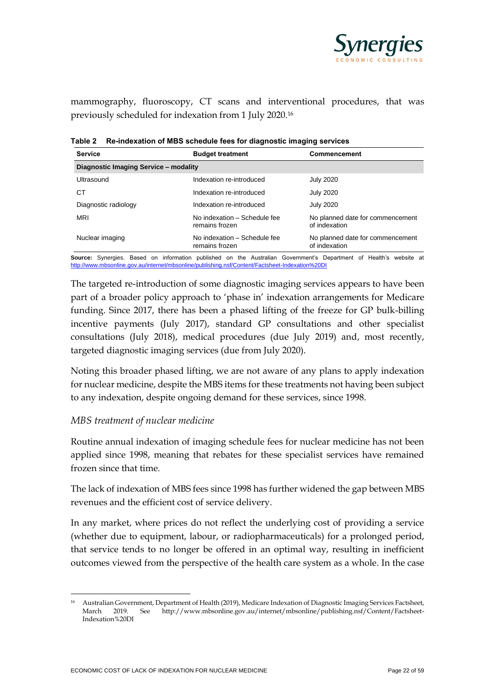

mammography, fluoroscopy, CT scans and interventional procedures, that was previously scheduled for indexation from 1 July 2020.<sup>16</sup>

| <b>Service</b>                        | <b>Budget treatment</b>                        | Commencement                                      |
|---------------------------------------|------------------------------------------------|---------------------------------------------------|
| Diagnostic Imaging Service - modality |                                                |                                                   |
| Ultrasound                            | Indexation re-introduced                       | <b>July 2020</b>                                  |
| CТ                                    | Indexation re-introduced                       | <b>July 2020</b>                                  |
| Diagnostic radiology                  | Indexation re-introduced                       | <b>July 2020</b>                                  |
| <b>MRI</b>                            | No indexation - Schedule fee<br>remains frozen | No planned date for commencement<br>of indexation |
| Nuclear imaging                       | No indexation - Schedule fee<br>remains frozen | No planned date for commencement<br>of indexation |

<span id="page-21-0"></span>**Table 2 Re-indexation of MBS schedule fees for diagnostic imaging services** 

**Source:** Synergies. Based on information published on the Australian Government's Department of Health's website at [http://www.mbsonline.gov.au/internet/mbsonline/publishing.nsf/Content/Factsheet-Indexation%20DI](about:blank)

The targeted re-introduction of some diagnostic imaging services appears to have been part of a broader policy approach to 'phase in' indexation arrangements for Medicare funding. Since 2017, there has been a phased lifting of the freeze for GP bulk-billing incentive payments (July 2017), standard GP consultations and other specialist consultations (July 2018), medical procedures (due July 2019) and, most recently, targeted diagnostic imaging services (due from July 2020).

Noting this broader phased lifting, we are not aware of any plans to apply indexation for nuclear medicine, despite the MBS items for these treatments not having been subject to any indexation, despite ongoing demand for these services, since 1998.

#### *MBS treatment of nuclear medicine*

Routine annual indexation of imaging schedule fees for nuclear medicine has not been applied since 1998, meaning that rebates for these specialist services have remained frozen since that time.

The lack of indexation of MBS fees since 1998 has further widened the gap between MBS revenues and the efficient cost of service delivery.

In any market, where prices do not reflect the underlying cost of providing a service (whether due to equipment, labour, or radiopharmaceuticals) for a prolonged period, that service tends to no longer be offered in an optimal way, resulting in inefficient outcomes viewed from the perspective of the health care system as a whole. In the case

<sup>16</sup> Australian Government, Department of Health (2019), Medicare Indexation of Diagnostic Imaging Services Factsheet, March 2019. See [http://www.mbsonline.gov.au/internet/mbsonline/publishing.nsf/Content/Factsheet-](about:blank)[Indexation%20DI](about:blank)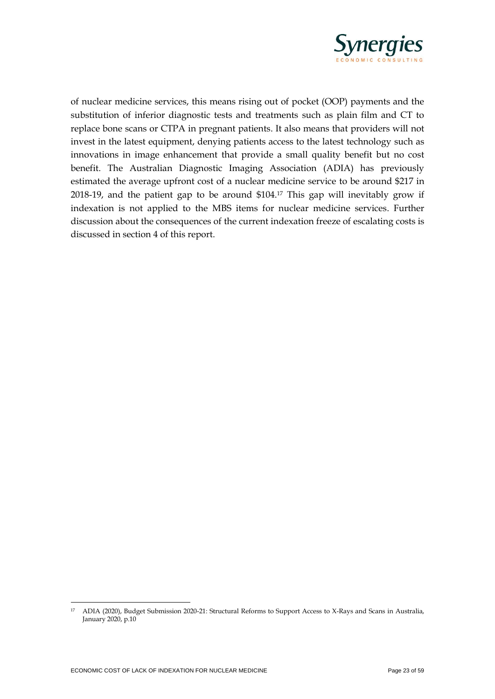

of nuclear medicine services, this means rising out of pocket (OOP) payments and the substitution of inferior diagnostic tests and treatments such as plain film and CT to replace bone scans or CTPA in pregnant patients. It also means that providers will not invest in the latest equipment, denying patients access to the latest technology such as innovations in image enhancement that provide a small quality benefit but no cost benefit. The Australian Diagnostic Imaging Association (ADIA) has previously estimated the average upfront cost of a nuclear medicine service to be around \$217 in 2018-19, and the patient gap to be around \$104. <sup>17</sup> This gap will inevitably grow if indexation is not applied to the MBS items for nuclear medicine services. Further discussion about the consequences of the current indexation freeze of escalating costs is discussed in section 4 of this report.

<sup>17</sup> ADIA (2020), Budget Submission 2020-21: Structural Reforms to Support Access to X-Rays and Scans in Australia, January 2020, p.10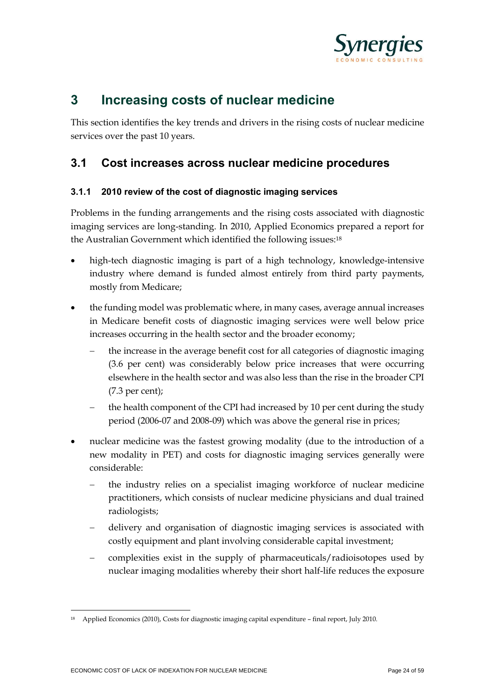

## **3 Increasing costs of nuclear medicine**

This section identifies the key trends and drivers in the rising costs of nuclear medicine services over the past 10 years.

### **3.1 Cost increases across nuclear medicine procedures**

#### **3.1.1 2010 review of the cost of diagnostic imaging services**

Problems in the funding arrangements and the rising costs associated with diagnostic imaging services are long-standing. In 2010, Applied Economics prepared a report for the Australian Government which identified the following issues:<sup>18</sup>

- high-tech diagnostic imaging is part of a high technology, knowledge-intensive industry where demand is funded almost entirely from third party payments, mostly from Medicare;
- the funding model was problematic where, in many cases, average annual increases in Medicare benefit costs of diagnostic imaging services were well below price increases occurring in the health sector and the broader economy;
	- the increase in the average benefit cost for all categories of diagnostic imaging (3.6 per cent) was considerably below price increases that were occurring elsewhere in the health sector and was also less than the rise in the broader CPI (7.3 per cent);
	- the health component of the CPI had increased by 10 per cent during the study period (2006-07 and 2008-09) which was above the general rise in prices;
- nuclear medicine was the fastest growing modality (due to the introduction of a new modality in PET) and costs for diagnostic imaging services generally were considerable:
	- the industry relies on a specialist imaging workforce of nuclear medicine practitioners, which consists of nuclear medicine physicians and dual trained radiologists;
	- − delivery and organisation of diagnostic imaging services is associated with costly equipment and plant involving considerable capital investment;
	- complexities exist in the supply of pharmaceuticals/radioisotopes used by nuclear imaging modalities whereby their short half-life reduces the exposure

<sup>18</sup> Applied Economics (2010), Costs for diagnostic imaging capital expenditure – final report, July 2010.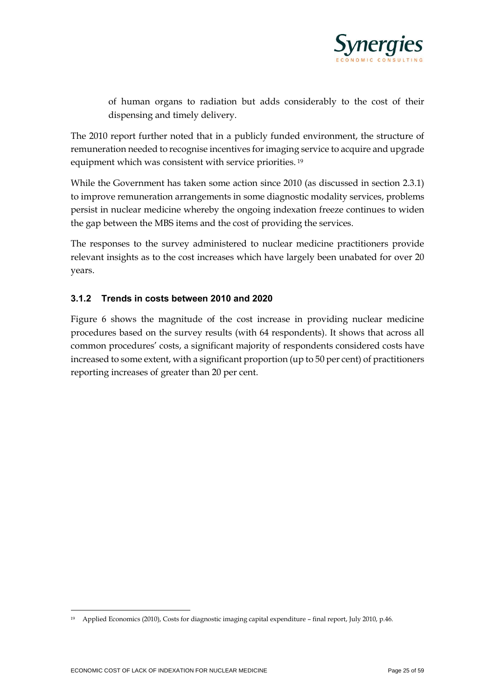

of human organs to radiation but adds considerably to the cost of their dispensing and timely delivery.

The 2010 report further noted that in a publicly funded environment, the structure of remuneration needed to recognise incentives for imaging service to acquire and upgrade equipment which was consistent with service priorities. <sup>19</sup>

While the Government has taken some action since 2010 (as discussed in section 2.3.1) to improve remuneration arrangements in some diagnostic modality services, problems persist in nuclear medicine whereby the ongoing indexation freeze continues to widen the gap between the MBS items and the cost of providing the services.

The responses to the survey administered to nuclear medicine practitioners provide relevant insights as to the cost increases which have largely been unabated for over 20 years.

#### **3.1.2 Trends in costs between 2010 and 2020**

Figure 6 shows the magnitude of the cost increase in providing nuclear medicine procedures based on the survey results (with 64 respondents). It shows that across all common procedures' costs, a significant majority of respondents considered costs have increased to some extent, with a significant proportion (up to 50 per cent) of practitioners reporting increases of greater than 20 per cent.

<sup>19</sup> Applied Economics (2010), Costs for diagnostic imaging capital expenditure – final report, July 2010, p.46.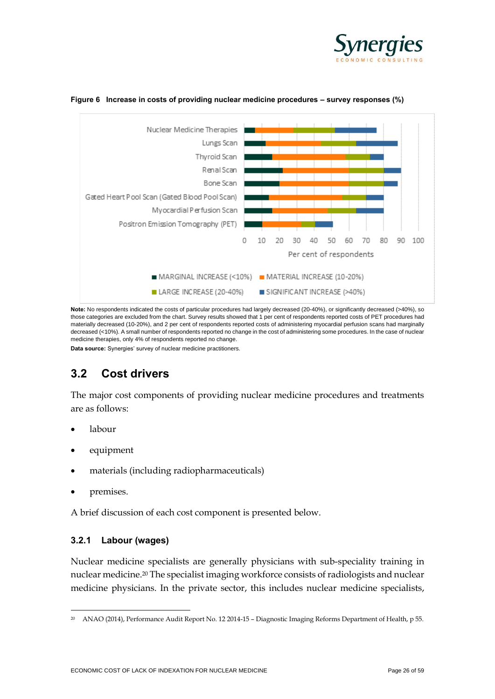



#### <span id="page-25-0"></span>**Figure 6 Increase in costs of providing nuclear medicine procedures – survey responses (%)**

**Note:** No respondents indicated the costs of particular procedures had largely decreased (20-40%), or significantly decreased (>40%), so those categories are excluded from the chart. Survey results showed that 1 per cent of respondents reported costs of PET procedures had materially decreased (10-20%), and 2 per cent of respondents reported costs of administering myocardial perfusion scans had marginally decreased (<10%). A small number of respondents reported no change in the cost of administering some procedures. In the case of nuclear medicine therapies, only 4% of respondents reported no change.

**Data source:** Synergies' survey of nuclear medicine practitioners.

### **3.2 Cost drivers**

The major cost components of providing nuclear medicine procedures and treatments are as follows:

- labour
- equipment
- materials (including radiopharmaceuticals)
- premises.

A brief discussion of each cost component is presented below.

#### **3.2.1 Labour (wages)**

Nuclear medicine specialists are generally physicians with sub-speciality training in nuclear medicine. <sup>20</sup> The specialist imaging workforce consists of radiologists and nuclear medicine physicians. In the private sector, this includes nuclear medicine specialists,

<sup>20</sup> ANAO (2014), Performance Audit Report No. 12 2014-15 – Diagnostic Imaging Reforms Department of Health, p 55.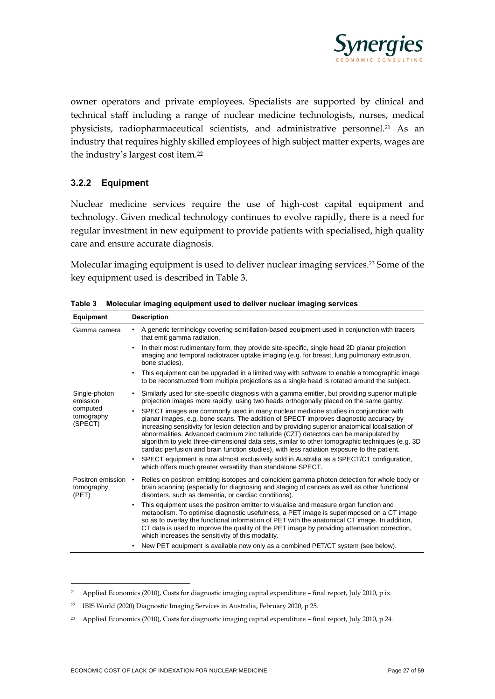

owner operators and private employees. Specialists are supported by clinical and technical staff including a range of nuclear medicine technologists, nurses, medical physicists, radiopharmaceutical scientists, and administrative personnel.<sup>21</sup> As an industry that requires highly skilled employees of high subject matter experts, wages are the industry's largest cost item.<sup>22</sup>

#### **3.2.2 Equipment**

Nuclear medicine services require the use of high-cost capital equipment and technology. Given medical technology continues to evolve rapidly, there is a need for regular investment in new equipment to provide patients with specialised, high quality care and ensure accurate diagnosis.

Molecular imaging equipment is used to deliver nuclear imaging services. <sup>23</sup> Some of the key equipment used is described in Table 3.

| Equipment                                                      | <b>Description</b>                                                                                                                                                                                                                                                                                                                                                                                                                                                                                                                                                                                                                                                                                     |
|----------------------------------------------------------------|--------------------------------------------------------------------------------------------------------------------------------------------------------------------------------------------------------------------------------------------------------------------------------------------------------------------------------------------------------------------------------------------------------------------------------------------------------------------------------------------------------------------------------------------------------------------------------------------------------------------------------------------------------------------------------------------------------|
| Gamma camera                                                   | A generic terminology covering scintillation-based equipment used in conjunction with tracers<br>that emit gamma radiation.                                                                                                                                                                                                                                                                                                                                                                                                                                                                                                                                                                            |
|                                                                | In their most rudimentary form, they provide site-specific, single head 2D planar projection<br>$\bullet$<br>imaging and temporal radiotracer uptake imaging (e.g. for breast, lung pulmonary extrusion,<br>bone studies).                                                                                                                                                                                                                                                                                                                                                                                                                                                                             |
|                                                                | This equipment can be upgraded in a limited way with software to enable a tomographic image<br>$\bullet$<br>to be reconstructed from multiple projections as a single head is rotated around the subject.                                                                                                                                                                                                                                                                                                                                                                                                                                                                                              |
| Single-photon<br>emission<br>computed<br>tomography<br>(SPECT) | Similarly used for site-specific diagnosis with a gamma emitter, but providing superior multiple<br>$\bullet$<br>projection images more rapidly, using two heads orthogonally placed on the same gantry.<br>SPECT images are commonly used in many nuclear medicine studies in conjunction with<br>$\bullet$<br>planar images, e.g. bone scans. The addition of SPECT improves diagnostic accuracy by<br>increasing sensitivity for lesion detection and by providing superior anatomical localisation of<br>abnormalities. Advanced cadmium zinc telluride (CZT) detectors can be manipulated by<br>algorithm to yield three-dimensional data sets, similar to other tomographic techniques (e.g. 3D) |
|                                                                | cardiac perfusion and brain function studies), with less radiation exposure to the patient.<br>SPECT equipment is now almost exclusively sold in Australia as a SPECT/CT configuration,<br>$\bullet$<br>which offers much greater versatility than standalone SPECT.                                                                                                                                                                                                                                                                                                                                                                                                                                   |
| Positron emission<br>tomography<br>(PET)                       | Relies on positron emitting isotopes and coincident gamma photon detection for whole body or<br>brain scanning (especially for diagnosing and staging of cancers as well as other functional<br>disorders, such as dementia, or cardiac conditions).                                                                                                                                                                                                                                                                                                                                                                                                                                                   |
|                                                                | This equipment uses the positron emitter to visualise and measure organ function and<br>$\bullet$<br>metabolism. To optimise diagnostic usefulness, a PET image is superimposed on a CT image<br>so as to overlay the functional information of PET with the anatomical CT image. In addition,<br>CT data is used to improve the quality of the PET image by providing attenuation correction,<br>which increases the sensitivity of this modality.                                                                                                                                                                                                                                                    |
|                                                                | New PET equipment is available now only as a combined PET/CT system (see below).<br>$\bullet$                                                                                                                                                                                                                                                                                                                                                                                                                                                                                                                                                                                                          |

<span id="page-26-0"></span>**Table 3 Molecular imaging equipment used to deliver nuclear imaging services** 

<sup>21</sup> Applied Economics (2010), Costs for diagnostic imaging capital expenditure – final report, July 2010, p ix.

<sup>22</sup> IBIS World (2020) Diagnostic Imaging Services in Australia, February 2020, p 25.

<sup>23</sup> Applied Economics (2010), Costs for diagnostic imaging capital expenditure – final report, July 2010, p 24.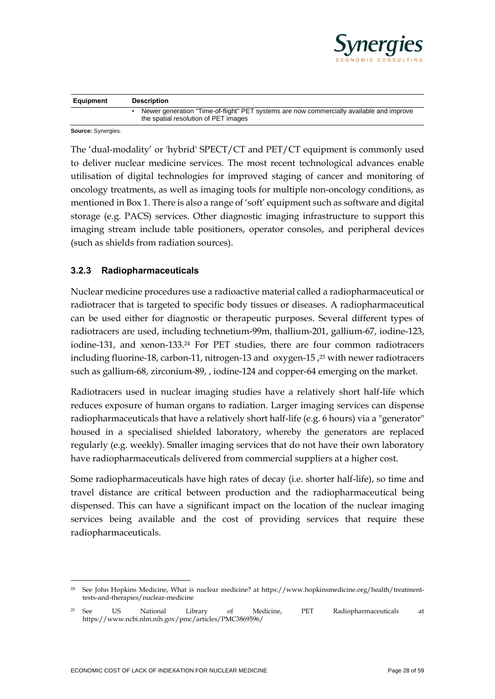

| Equipment | <b>Description</b>                                                                                                               |
|-----------|----------------------------------------------------------------------------------------------------------------------------------|
|           | Newer generation "Time-of-flight" PET systems are now commercially available and improve<br>the spatial resolution of PET images |

**Source:** Synergies.

The 'dual-modality' or 'hybrid' SPECT/CT and PET/CT equipment is commonly used to deliver nuclear medicine services. The most recent technological advances enable utilisation of digital technologies for improved staging of cancer and monitoring of oncology treatments, as well as imaging tools for multiple non-oncology conditions, as mentioned in Box 1. There is also a range of 'soft' equipment such as software and digital storage (e.g. PACS) services. Other diagnostic imaging infrastructure to support this imaging stream include table positioners, operator consoles, and peripheral devices (such as shields from radiation sources).

#### **3.2.3 Radiopharmaceuticals**

Nuclear medicine procedures use a radioactive material called a radiopharmaceutical or radiotracer that is targeted to specific body tissues or diseases. A radiopharmaceutical can be used either for diagnostic or therapeutic purposes. Several different types of radiotracers are used, including technetium-99m, thallium-201, gallium-67, iodine-123, iodine-131, and xenon-133. <sup>24</sup> For PET studies, there are four common radiotracers including fluorine-18, carbon-11, nitrogen-13 and oxygen-15 , <sup>25</sup> with newer radiotracers such as gallium-68, zirconium-89, , iodine-124 and copper-64 emerging on the market.

Radiotracers used in nuclear imaging studies have a relatively short half-life which reduces exposure of human organs to radiation. Larger imaging services can dispense radiopharmaceuticals that have a relatively short half-life (e.g. 6 hours) via a "generator" housed in a specialised shielded laboratory, whereby the generators are replaced regularly (e.g. weekly). Smaller imaging services that do not have their own laboratory have radiopharmaceuticals delivered from commercial suppliers at a higher cost.

Some radiopharmaceuticals have high rates of decay (i.e. shorter half-life), so time and travel distance are critical between production and the radiopharmaceutical being dispensed. This can have a significant impact on the location of the nuclear imaging services being available and the cost of providing services that require these radiopharmaceuticals.

<sup>24</sup> See John Hopkins Medicine, What is nuclear medicine? at https://www.hopkinsmedicine.org/health/treatmenttests-and-therapies/nuclear-medicine

<sup>25</sup> See US National Library of Medicine, PET Radiopharmaceuticals at https://www.ncbi.nlm.nih.gov/pmc/articles/PMC3869596/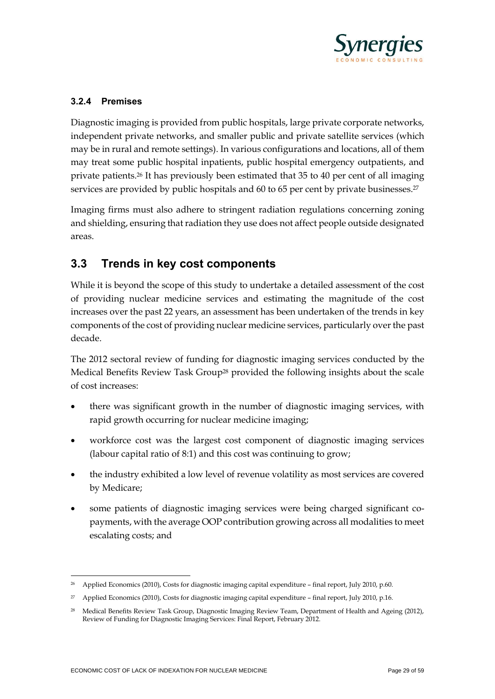

#### **3.2.4 Premises**

Diagnostic imaging is provided from public hospitals, large private corporate networks, independent private networks, and smaller public and private satellite services (which may be in rural and remote settings). In various configurations and locations, all of them may treat some public hospital inpatients, public hospital emergency outpatients, and private patients.<sup>26</sup> It has previously been estimated that 35 to 40 per cent of all imaging services are provided by public hospitals and 60 to 65 per cent by private businesses.<sup>27</sup>

Imaging firms must also adhere to stringent radiation regulations concerning zoning and shielding, ensuring that radiation they use does not affect people outside designated areas.

## **3.3 Trends in key cost components**

While it is beyond the scope of this study to undertake a detailed assessment of the cost of providing nuclear medicine services and estimating the magnitude of the cost increases over the past 22 years, an assessment has been undertaken of the trends in key components of the cost of providing nuclear medicine services, particularly over the past decade.

The 2012 sectoral review of funding for diagnostic imaging services conducted by the Medical Benefits Review Task Group<sup>28</sup> provided the following insights about the scale of cost increases:

- there was significant growth in the number of diagnostic imaging services, with rapid growth occurring for nuclear medicine imaging;
- workforce cost was the largest cost component of diagnostic imaging services (labour capital ratio of 8:1) and this cost was continuing to grow;
- the industry exhibited a low level of revenue volatility as most services are covered by Medicare;
- some patients of diagnostic imaging services were being charged significant copayments, with the average OOP contribution growing across all modalities to meet escalating costs; and

<sup>&</sup>lt;sup>26</sup> Applied Economics (2010), Costs for diagnostic imaging capital expenditure – final report, July 2010, p.60.

<sup>27</sup> Applied Economics (2010), Costs for diagnostic imaging capital expenditure – final report, July 2010, p.16.

<sup>28</sup> Medical Benefits Review Task Group, Diagnostic Imaging Review Team, Department of Health and Ageing (2012), Review of Funding for Diagnostic Imaging Services: Final Report, February 2012.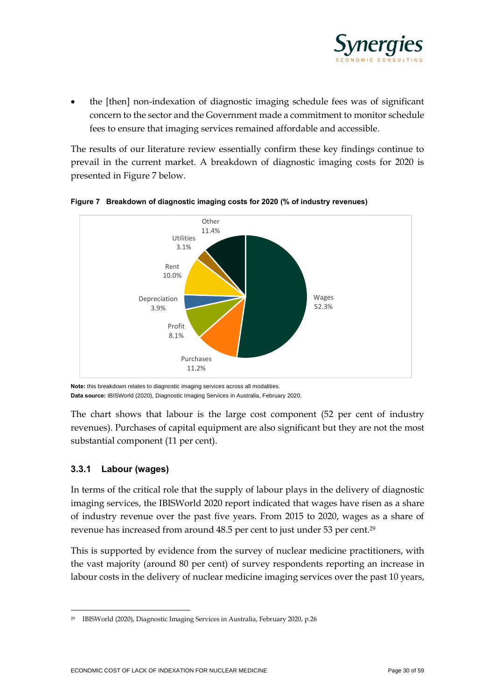

• the [then] non-indexation of diagnostic imaging schedule fees was of significant concern to the sector and the Government made a commitment to monitor schedule fees to ensure that imaging services remained affordable and accessible.

The results of our literature review essentially confirm these key findings continue to prevail in the current market. A breakdown of diagnostic imaging costs for 2020 is presented in Figure 7 below.



<span id="page-29-0"></span>

**Note:** this breakdown relates to diagnostic imaging services across all modalities. **Data source:** IBISWorld (2020), Diagnostic Imaging Services in Australia, February 2020.

The chart shows that labour is the large cost component (52 per cent of industry revenues). Purchases of capital equipment are also significant but they are not the most substantial component (11 per cent).

#### **3.3.1 Labour (wages)**

In terms of the critical role that the supply of labour plays in the delivery of diagnostic imaging services, the IBISWorld 2020 report indicated that wages have risen as a share of industry revenue over the past five years. From 2015 to 2020, wages as a share of revenue has increased from around 48.5 per cent to just under 53 per cent. 29

This is supported by evidence from the survey of nuclear medicine practitioners, with the vast majority (around 80 per cent) of survey respondents reporting an increase in labour costs in the delivery of nuclear medicine imaging services over the past 10 years,

<sup>29</sup> IBISWorld (2020), Diagnostic Imaging Services in Australia, February 2020, p.26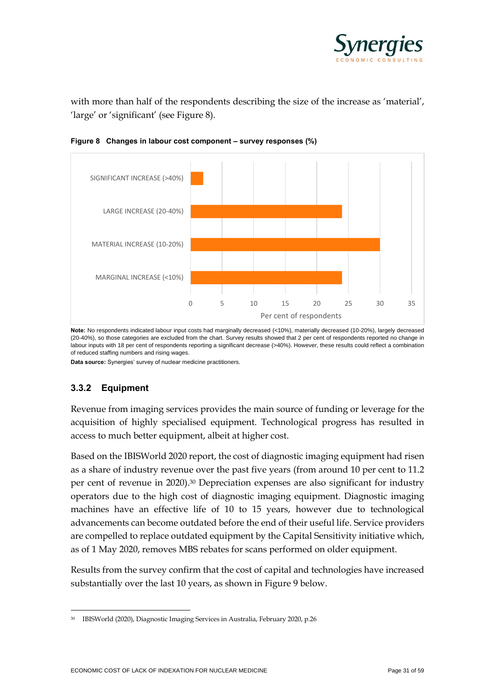

with more than half of the respondents describing the size of the increase as 'material', 'large' or 'significant' (see Figure 8).



<span id="page-30-0"></span>**Figure 8 Changes in labour cost component – survey responses (%)**

**Note:** No respondents indicated labour input costs had marginally decreased (<10%), materially decreased (10-20%), largely decreased (20-40%), so those categories are excluded from the chart. Survey results showed that 2 per cent of respondents reported no change in labour inputs with 18 per cent of respondents reporting a significant decrease (>40%). However, these results could reflect a combination of reduced staffing numbers and rising wages.

**Data source:** Synergies' survey of nuclear medicine practitioners.

#### **3.3.2 Equipment**

Revenue from imaging services provides the main source of funding or leverage for the acquisition of highly specialised equipment. Technological progress has resulted in access to much better equipment, albeit at higher cost.

Based on the IBISWorld 2020 report, the cost of diagnostic imaging equipment had risen as a share of industry revenue over the past five years (from around 10 per cent to 11.2 per cent of revenue in 2020). <sup>30</sup> Depreciation expenses are also significant for industry operators due to the high cost of diagnostic imaging equipment. Diagnostic imaging machines have an effective life of 10 to 15 years, however due to technological advancements can become outdated before the end of their useful life. Service providers are compelled to replace outdated equipment by the Capital Sensitivity initiative which, as of 1 May 2020, removes MBS rebates for scans performed on older equipment.

Results from the survey confirm that the cost of capital and technologies have increased substantially over the last 10 years, as shown in Figure 9 below.

<sup>30</sup> IBISWorld (2020), Diagnostic Imaging Services in Australia, February 2020, p.26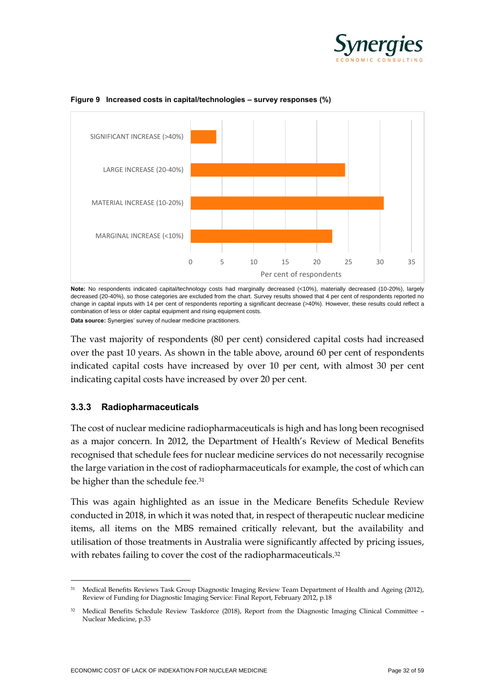



#### <span id="page-31-0"></span>**Figure 9 Increased costs in capital/technologies – survey responses (%)**

**Note:** No respondents indicated capital/technology costs had marginally decreased (<10%), materially decreased (10-20%), largely decreased (20-40%), so those categories are excluded from the chart. Survey results showed that 4 per cent of respondents reported no change in capital inputs with 14 per cent of respondents reporting a significant decrease (>40%). However, these results could reflect a combination of less or older capital equipment and rising equipment costs. **Data source:** Synergies' survey of nuclear medicine practitioners.

The vast majority of respondents (80 per cent) considered capital costs had increased over the past 10 years. As shown in the table above, around 60 per cent of respondents indicated capital costs have increased by over 10 per cent, with almost 30 per cent indicating capital costs have increased by over 20 per cent.

#### **3.3.3 Radiopharmaceuticals**

The cost of nuclear medicine radiopharmaceuticals is high and has long been recognised as a major concern. In 2012, the Department of Health's Review of Medical Benefits recognised that schedule fees for nuclear medicine services do not necessarily recognise the large variation in the cost of radiopharmaceuticals for example, the cost of which can be higher than the schedule fee.<sup>31</sup>

This was again highlighted as an issue in the Medicare Benefits Schedule Review conducted in 2018, in which it was noted that, in respect of therapeutic nuclear medicine items, all items on the MBS remained critically relevant, but the availability and utilisation of those treatments in Australia were significantly affected by pricing issues, with rebates failing to cover the cost of the radiopharmaceuticals.<sup>32</sup>

<sup>31</sup> Medical Benefits Reviews Task Group Diagnostic Imaging Review Team Department of Health and Ageing (2012), Review of Funding for Diagnostic Imaging Service: Final Report, February 2012, p.18

<sup>&</sup>lt;sup>32</sup> Medical Benefits Schedule Review Taskforce (2018), Report from the Diagnostic Imaging Clinical Committee -Nuclear Medicine, p.33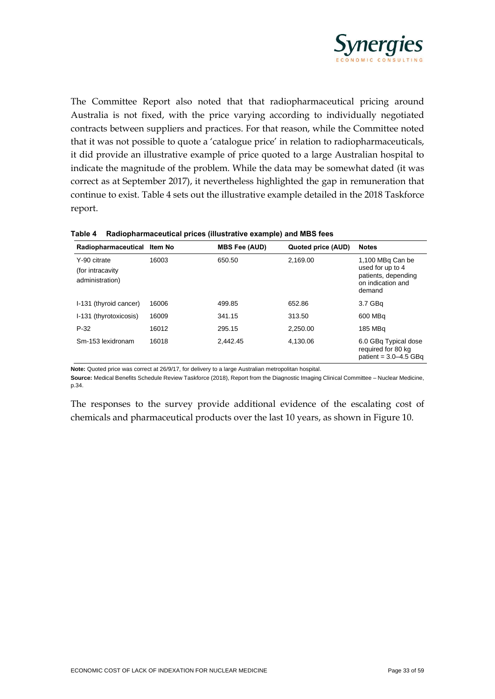

The Committee Report also noted that that radiopharmaceutical pricing around Australia is not fixed, with the price varying according to individually negotiated contracts between suppliers and practices. For that reason, while the Committee noted that it was not possible to quote a 'catalogue price' in relation to radiopharmaceuticals, it did provide an illustrative example of price quoted to a large Australian hospital to indicate the magnitude of the problem. While the data may be somewhat dated (it was correct as at September 2017), it nevertheless highlighted the gap in remuneration that continue to exist. Table 4 sets out the illustrative example detailed in the 2018 Taskforce report.

| Radiopharmaceutical Item No                          |       | <b>MBS Fee (AUD)</b> | Quoted price (AUD) | <b>Notes</b>                                                                               |
|------------------------------------------------------|-------|----------------------|--------------------|--------------------------------------------------------------------------------------------|
| Y-90 citrate<br>(for intracavity)<br>administration) | 16003 | 650.50               | 2,169.00           | 1,100 MBq Can be<br>used for up to 4<br>patients, depending<br>on indication and<br>demand |
| I-131 (thyroid cancer)                               | 16006 | 499.85               | 652.86             | 3.7 GBq                                                                                    |
| I-131 (thyrotoxicosis)                               | 16009 | 341.15               | 313.50             | 600 MBa                                                                                    |
| $P-32$                                               | 16012 | 295.15               | 2.250.00           | 185 MBq                                                                                    |
| Sm-153 lexidronam                                    | 16018 | 2.442.45             | 4,130.06           | 6.0 GBq Typical dose<br>required for 80 kg<br>patient = $3.0 - 4.5$ GBq                    |

<span id="page-32-0"></span>**Table 4 Radiopharmaceutical prices (illustrative example) and MBS fees** 

**Note:** Quoted price was correct at 26/9/17, for delivery to a large Australian metropolitan hospital.

**Source:** Medical Benefits Schedule Review Taskforce (2018), Report from the Diagnostic Imaging Clinical Committee – Nuclear Medicine, p.34.

The responses to the survey provide additional evidence of the escalating cost of chemicals and pharmaceutical products over the last 10 years, as shown in Figure 10.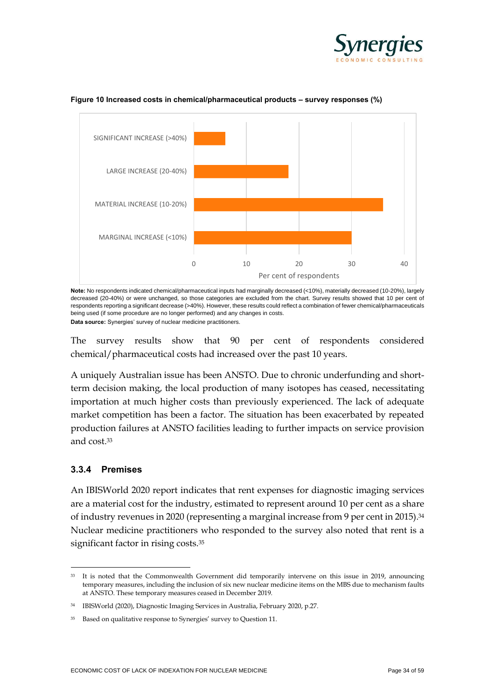



#### <span id="page-33-0"></span>**Figure 10 Increased costs in chemical/pharmaceutical products – survey responses (%)**

**Note:** No respondents indicated chemical/pharmaceutical inputs had marginally decreased (<10%), materially decreased (10-20%), largely decreased (20-40%) or were unchanged, so those categories are excluded from the chart. Survey results showed that 10 per cent of respondents reporting a significant decrease (>40%). However, these results could reflect a combination of fewer chemical/pharmaceuticals being used (if some procedure are no longer performed) and any changes in costs.

**Data source:** Synergies' survey of nuclear medicine practitioners.

The survey results show that 90 per cent of respondents considered chemical/pharmaceutical costs had increased over the past 10 years.

A uniquely Australian issue has been ANSTO. Due to chronic underfunding and shortterm decision making, the local production of many isotopes has ceased, necessitating importation at much higher costs than previously experienced. The lack of adequate market competition has been a factor. The situation has been exacerbated by repeated production failures at ANSTO facilities leading to further impacts on service provision and cost.<sup>33</sup>

#### **3.3.4 Premises**

An IBISWorld 2020 report indicates that rent expenses for diagnostic imaging services are a material cost for the industry, estimated to represent around 10 per cent as a share of industry revenues in 2020 (representing a marginal increase from 9 per cent in 2015). 34 Nuclear medicine practitioners who responded to the survey also noted that rent is a significant factor in rising costs.<sup>35</sup>

<sup>&</sup>lt;sup>33</sup> It is noted that the Commonwealth Government did temporarily intervene on this issue in 2019, announcing temporary measures, including the inclusion of six new nuclear medicine items on the MBS due to mechanism faults at ANSTO. These temporary measures ceased in December 2019.

<sup>34</sup> IBISWorld (2020), Diagnostic Imaging Services in Australia, February 2020, p.27.

<sup>&</sup>lt;sup>35</sup> Based on qualitative response to Synergies' survey to Question 11.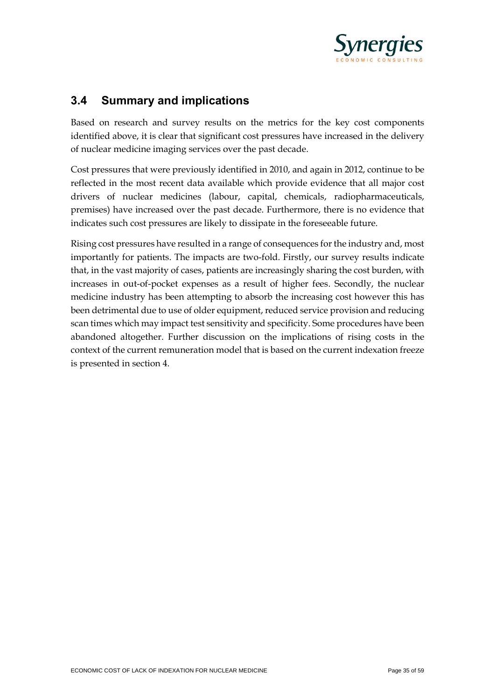

## **3.4 Summary and implications**

Based on research and survey results on the metrics for the key cost components identified above, it is clear that significant cost pressures have increased in the delivery of nuclear medicine imaging services over the past decade.

Cost pressures that were previously identified in 2010, and again in 2012, continue to be reflected in the most recent data available which provide evidence that all major cost drivers of nuclear medicines (labour, capital, chemicals, radiopharmaceuticals, premises) have increased over the past decade. Furthermore, there is no evidence that indicates such cost pressures are likely to dissipate in the foreseeable future.

Rising cost pressures have resulted in a range of consequences for the industry and, most importantly for patients. The impacts are two-fold. Firstly, our survey results indicate that, in the vast majority of cases, patients are increasingly sharing the cost burden, with increases in out-of-pocket expenses as a result of higher fees. Secondly, the nuclear medicine industry has been attempting to absorb the increasing cost however this has been detrimental due to use of older equipment, reduced service provision and reducing scan times which may impact test sensitivity and specificity. Some procedures have been abandoned altogether. Further discussion on the implications of rising costs in the context of the current remuneration model that is based on the current indexation freeze is presented in section 4.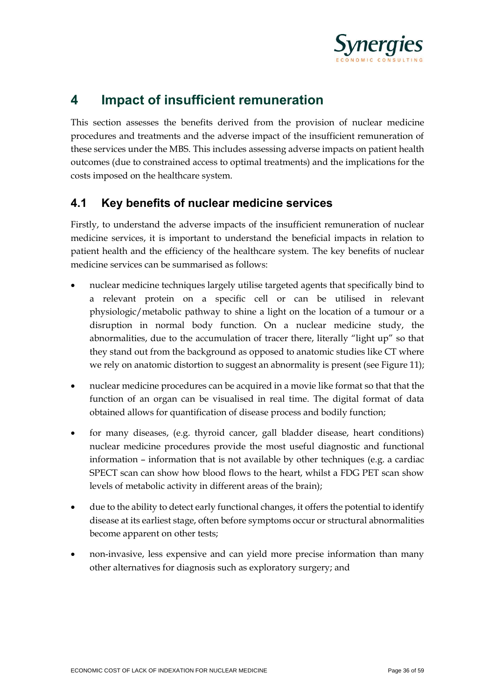

## **4 Impact of insufficient remuneration**

This section assesses the benefits derived from the provision of nuclear medicine procedures and treatments and the adverse impact of the insufficient remuneration of these services under the MBS. This includes assessing adverse impacts on patient health outcomes (due to constrained access to optimal treatments) and the implications for the costs imposed on the healthcare system.

## **4.1 Key benefits of nuclear medicine services**

Firstly, to understand the adverse impacts of the insufficient remuneration of nuclear medicine services, it is important to understand the beneficial impacts in relation to patient health and the efficiency of the healthcare system. The key benefits of nuclear medicine services can be summarised as follows:

- nuclear medicine techniques largely utilise targeted agents that specifically bind to a relevant protein on a specific cell or can be utilised in relevant physiologic/metabolic pathway to shine a light on the location of a tumour or a disruption in normal body function. On a nuclear medicine study, the abnormalities, due to the accumulation of tracer there, literally "light up" so that they stand out from the background as opposed to anatomic studies like CT where we rely on anatomic distortion to suggest an abnormality is present (see Figure 11);
- nuclear medicine procedures can be acquired in a movie like format so that that the function of an organ can be visualised in real time. The digital format of data obtained allows for quantification of disease process and bodily function;
- for many diseases, (e.g. thyroid cancer, gall bladder disease, heart conditions) nuclear medicine procedures provide the most useful diagnostic and functional information – information that is not available by other techniques (e.g. a cardiac SPECT scan can show how blood flows to the heart, whilst a FDG PET scan show levels of metabolic activity in different areas of the brain);
- due to the ability to detect early functional changes, it offers the potential to identify disease at its earliest stage, often before symptoms occur or structural abnormalities become apparent on other tests;
- non-invasive, less expensive and can yield more precise information than many other alternatives for diagnosis such as exploratory surgery; and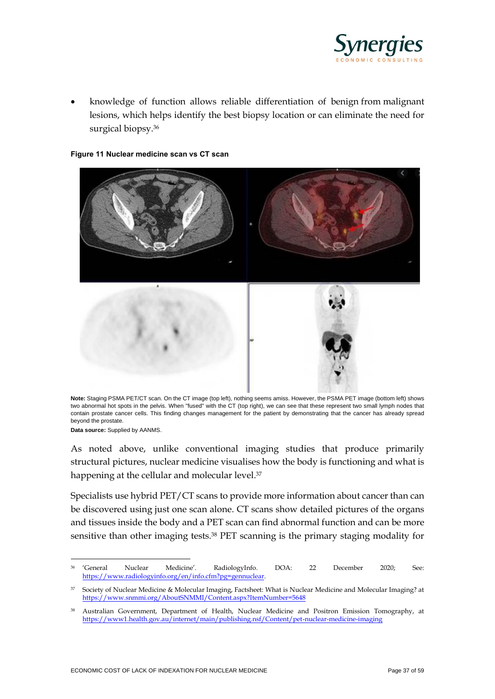

• knowledge of function allows reliable differentiation of benign from malignant lesions, which helps identify the best biopsy location or can eliminate the need for surgical biopsy. 36

#### <span id="page-36-0"></span>**Figure 11 Nuclear medicine scan vs CT scan**



**Note:** Staging PSMA PET/CT scan. On the CT image (top left), nothing seems amiss. However, the PSMA PET image (bottom left) shows two abnormal hot spots in the pelvis. When "fused" with the CT (top right), we can see that these represent two small lymph nodes that contain prostate cancer cells. This finding changes management for the patient by demonstrating that the cancer has already spread beyond the prostate.

**Data source:** Supplied by AANMS.

As noted above, unlike conventional imaging studies that produce primarily structural pictures, nuclear medicine visualises how the body is functioning and what is happening at the cellular and molecular level. 37

Specialists use hybrid PET/CT scans to provide more information about cancer than can be discovered using just one scan alone. CT scans show detailed pictures of the organs and tissues inside the body and a PET scan can find abnormal function and can be more sensitive than other imaging tests.<sup>38</sup> PET scanning is the primary staging modality for

<sup>36</sup> 'General Nuclear Medicine'. RadiologyInfo. DOA: 22 December 2020; See: [https://www.radiologyinfo.org/en/info.cfm?pg=gennuclear.](about:blank)

<sup>37</sup> Society of Nuclear Medicine & Molecular Imaging, Factsheet: What is Nuclear Medicine and Molecular Imaging? at [https://www.snmmi.org/AboutSNMMI/Content.aspx?ItemNumber=5648](about:blank)

<sup>38</sup> Australian Government, Department of Health, Nuclear Medicine and Positron Emission Tomography, at [https://www1.health.gov.au/internet/main/publishing.nsf/Content/pet-nuclear-medicine-imaging](about:blank)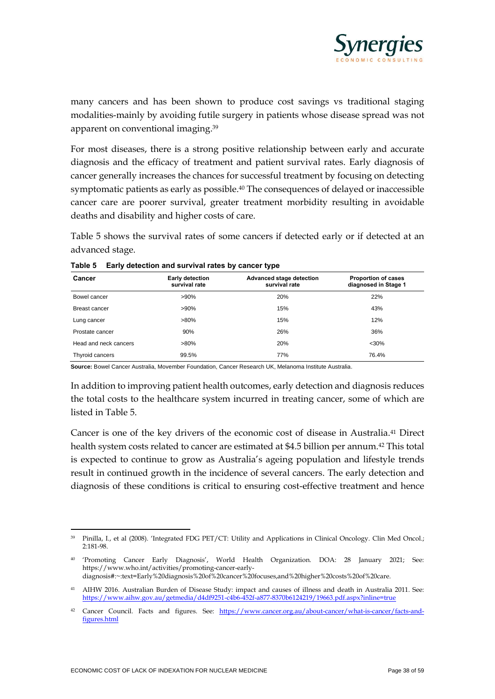

many cancers and has been shown to produce cost savings vs traditional staging modalities-mainly by avoiding futile surgery in patients whose disease spread was not apparent on conventional imaging. 39

For most diseases, there is a strong positive relationship between early and accurate diagnosis and the efficacy of treatment and patient survival rates. Early diagnosis of cancer generally increases the chances for successful treatment by focusing on detecting symptomatic patients as early as possible.<sup>40</sup> The consequences of delayed or inaccessible cancer care are poorer survival, greater treatment morbidity resulting in avoidable deaths and disability and higher costs of care.

Table 5 shows the survival rates of some cancers if detected early or if detected at an advanced stage.

| Cancer                | <b>Early detection</b><br>survival rate | <b>Advanced stage detection</b><br>survival rate | <b>Proportion of cases</b><br>diagnosed in Stage 1 |
|-----------------------|-----------------------------------------|--------------------------------------------------|----------------------------------------------------|
| Bowel cancer          | $>90\%$                                 | 20%                                              | 22%                                                |
| Breast cancer         | $>90\%$                                 | 15%                                              | 43%                                                |
| Lung cancer           | $>80\%$                                 | 15%                                              | 12%                                                |
| Prostate cancer       | 90%                                     | 26%                                              | 36%                                                |
| Head and neck cancers | $>80\%$                                 | 20%                                              | $<$ 30%                                            |
| Thyroid cancers       | 99.5%                                   | 77%                                              | 76.4%                                              |

#### <span id="page-37-0"></span>**Table 5 Early detection and survival rates by cancer type**

**Source:** Bowel Cancer Australia, Movember Foundation, Cancer Research UK, Melanoma Institute Australia.

In addition to improving patient health outcomes, early detection and diagnosis reduces the total costs to the healthcare system incurred in treating cancer, some of which are listed in Table 5.

Cancer is one of the key drivers of the economic cost of disease in Australia.<sup>41</sup> Direct health system costs related to cancer are estimated at \$4.5 billion per annum. <sup>42</sup> This total is expected to continue to grow as Australia's ageing population and lifestyle trends result in continued growth in the incidence of several cancers. The early detection and diagnosis of these conditions is critical to ensuring cost-effective treatment and hence

<sup>39</sup> Pinilla, I., et al (2008). 'Integrated FDG PET/CT: Utility and Applications in Clinical Oncology. Clin Med Oncol.; 2:181-98.

<sup>40</sup> 'Promoting Cancer Early Diagnosis', World Health Organization. DOA: 28 January 2021; See: https://www.who.int/activities/promoting-cancer-earlydiagnosis#:~:text=Early%20diagnosis%20of%20cancer%20focuses,and%20higher%20costs%20of%20care.

<sup>41</sup> AIHW 2016. Australian Burden of Disease Study: impact and causes of illness and death in Australia 2011. See: [https://www.aihw.gov.au/getmedia/d4df9251-c4b6-452f-a877-8370b6124219/19663.pdf.aspx?inline=true](about:blank)

<sup>42</sup> Cancer Council. Facts and figures. See: [https://www.cancer.org.au/about-cancer/what-is-cancer/facts-and](about:blank)[figures.html](about:blank)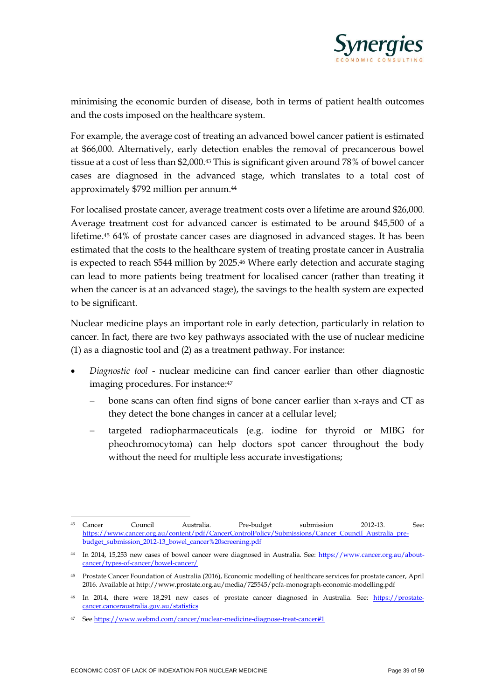

minimising the economic burden of disease, both in terms of patient health outcomes and the costs imposed on the healthcare system.

For example, the average cost of treating an advanced bowel cancer patient is estimated at \$66,000. Alternatively, early detection enables the removal of precancerous bowel tissue at a cost of less than \$2,000.<sup>43</sup> This is significant given around 78% of bowel cancer cases are diagnosed in the advanced stage, which translates to a total cost of approximately \$792 million per annum.<sup>44</sup>

For localised prostate cancer, average treatment costs over a lifetime are around \$26,000. Average treatment cost for advanced cancer is estimated to be around \$45,500 of a lifetime. <sup>45</sup> 64% of prostate cancer cases are diagnosed in advanced stages. It has been estimated that the costs to the healthcare system of treating prostate cancer in Australia is expected to reach \$544 million by 2025. <sup>46</sup> Where early detection and accurate staging can lead to more patients being treatment for localised cancer (rather than treating it when the cancer is at an advanced stage), the savings to the health system are expected to be significant.

Nuclear medicine plays an important role in early detection, particularly in relation to cancer. In fact, there are two key pathways associated with the use of nuclear medicine (1) as a diagnostic tool and (2) as a treatment pathway. For instance:

- *Diagnostic tool* nuclear medicine can find cancer earlier than other diagnostic imaging procedures. For instance: 47
	- bone scans can often find signs of bone cancer earlier than x-rays and CT as they detect the bone changes in cancer at a cellular level;
	- targeted radiopharmaceuticals (e.g. iodine for thyroid or MIBG for pheochromocytoma) can help doctors spot cancer throughout the body without the need for multiple less accurate investigations;

<sup>43</sup> Cancer Council Australia. Pre-budget submission 2012-13. See: [https://www.cancer.org.au/content/pdf/CancerControlPolicy/Submissions/Cancer\\_Council\\_Australia\\_pre](about:blank)[budget\\_submission\\_2012-13\\_bowel\\_cancer%20screening.pdf](about:blank)

<sup>44</sup> In 2014, 15,253 new cases of bowel cancer were diagnosed in Australia. See: [https://www.cancer.org.au/about](about:blank)[cancer/types-of-cancer/bowel-cancer/](about:blank)

<sup>45</sup> Prostate Cancer Foundation of Australia (2016), Economic modelling of healthcare services for prostate cancer, April 2016. Available at http://www.prostate.org.au/media/725545/pcfa-monograph-economic-modelling.pdf

<sup>&</sup>lt;sup>46</sup> In 2014, there were 18,291 new cases of prostate cancer diagnosed in Australia. See: [https://prostate](about:blank)[cancer.canceraustralia.gov.au/statistics](about:blank)

<sup>47</sup> Se[e https://www.webmd.com/cancer/nuclear-medicine-diagnose-treat-cancer#1](about:blank#1)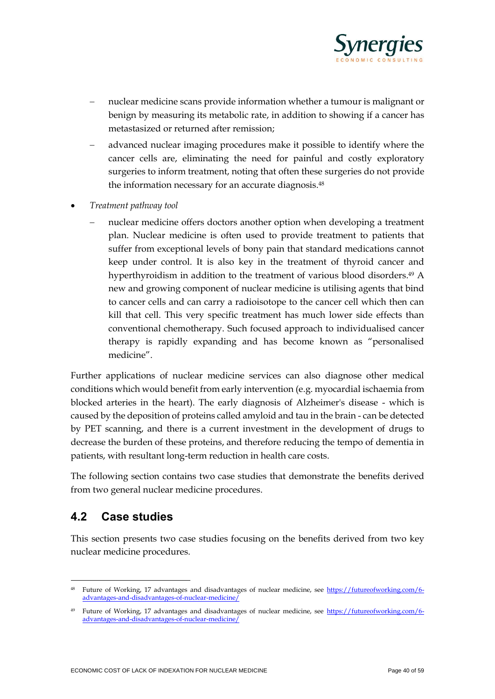

- nuclear medicine scans provide information whether a tumour is malignant or benign by measuring its metabolic rate, in addition to showing if a cancer has metastasized or returned after remission;
- − advanced nuclear imaging procedures make it possible to identify where the cancer cells are, eliminating the need for painful and costly exploratory surgeries to inform treatment, noting that often these surgeries do not provide the information necessary for an accurate diagnosis. 48
- *Treatment pathway tool*
	- nuclear medicine offers doctors another option when developing a treatment plan. Nuclear medicine is often used to provide treatment to patients that suffer from exceptional levels of bony pain that standard medications cannot keep under control. It is also key in the treatment of thyroid cancer and hyperthyroidism in addition to the treatment of various blood disorders. <sup>49</sup> A new and growing component of nuclear medicine is utilising agents that bind to cancer cells and can carry a radioisotope to the cancer cell which then can kill that cell. This very specific treatment has much lower side effects than conventional chemotherapy. Such focused approach to individualised cancer therapy is rapidly expanding and has become known as "personalised medicine".

Further applications of nuclear medicine services can also diagnose other medical conditions which would benefit from early intervention (e.g. myocardial ischaemia from blocked arteries in the heart). The early diagnosis of Alzheimer's disease - which is caused by the deposition of proteins called amyloid and tau in the brain - can be detected by PET scanning, and there is a current investment in the development of drugs to decrease the burden of these proteins, and therefore reducing the tempo of dementia in patients, with resultant long-term reduction in health care costs.

The following section contains two case studies that demonstrate the benefits derived from two general nuclear medicine procedures.

### **4.2 Case studies**

This section presents two case studies focusing on the benefits derived from two key nuclear medicine procedures.

<sup>48</sup> Future of Working, 17 advantages and disadvantages of nuclear medicine, see [https://futureofworking.com/6](about:blank) [advantages-and-disadvantages-of-nuclear-medicine/](about:blank)

<sup>&</sup>lt;sup>49</sup> Future of Working, 17 advantages and disadvantages of nuclear medicine, see [https://futureofworking.com/6](about:blank) [advantages-and-disadvantages-of-nuclear-medicine/](about:blank)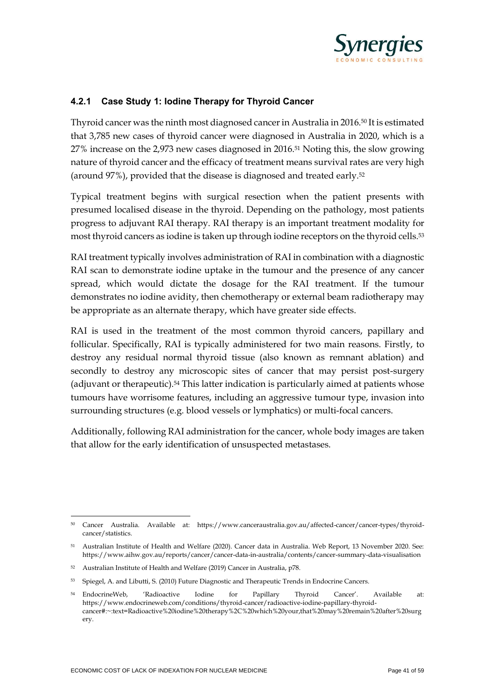

#### **4.2.1 Case Study 1: Iodine Therapy for Thyroid Cancer**

Thyroid cancer was the ninth most diagnosed cancer in Australia in 2016.<sup>50</sup> It is estimated that 3,785 new cases of thyroid cancer were diagnosed in Australia in 2020, which is a 27% increase on the 2,973 new cases diagnosed in 2016.<sup>51</sup> Noting this, the slow growing nature of thyroid cancer and the efficacy of treatment means survival rates are very high (around 97%), provided that the disease is diagnosed and treated early.<sup>52</sup>

Typical treatment begins with surgical resection when the patient presents with presumed localised disease in the thyroid. Depending on the pathology, most patients progress to adjuvant RAI therapy. RAI therapy is an important treatment modality for most thyroid cancers as iodine is taken up through iodine receptors on the thyroid cells.<sup>53</sup>

RAI treatment typically involves administration of RAI in combination with a diagnostic RAI scan to demonstrate iodine uptake in the tumour and the presence of any cancer spread, which would dictate the dosage for the RAI treatment. If the tumour demonstrates no iodine avidity, then chemotherapy or external beam radiotherapy may be appropriate as an alternate therapy, which have greater side effects.

RAI is used in the treatment of the most common thyroid cancers, papillary and follicular. Specifically, RAI is typically administered for two main reasons. Firstly, to destroy any residual normal thyroid tissue (also known as remnant ablation) and secondly to destroy any microscopic sites of cancer that may persist post-surgery (adjuvant or therapeutic).<sup>54</sup> This latter indication is particularly aimed at patients whose tumours have worrisome features, including an aggressive tumour type, invasion into surrounding structures (e.g. blood vessels or lymphatics) or multi-focal cancers.

Additionally, following RAI administration for the cancer, whole body images are taken that allow for the early identification of unsuspected metastases.

<sup>50</sup> Cancer Australia. Available at: https://www.canceraustralia.gov.au/affected-cancer/cancer-types/thyroidcancer/statistics.

<sup>51</sup> Australian Institute of Health and Welfare (2020). Cancer data in Australia. Web Report, 13 November 2020. See: https://www.aihw.gov.au/reports/cancer/cancer-data-in-australia/contents/cancer-summary-data-visualisation

<sup>52</sup> Australian Institute of Health and Welfare (2019) Cancer in Australia, p78.

<sup>53</sup> Spiegel, A. and Libutti, S. (2010) Future Diagnostic and Therapeutic Trends in Endocrine Cancers.

<sup>54</sup> EndocrineWeb, 'Radioactive Iodine for Papillary Thyroid Cancer'. Available at: https://www.endocrineweb.com/conditions/thyroid-cancer/radioactive-iodine-papillary-thyroidcancer#:~:text=Radioactive%20iodine%20therapy%2C%20which%20your,that%20may%20remain%20after%20surg ery.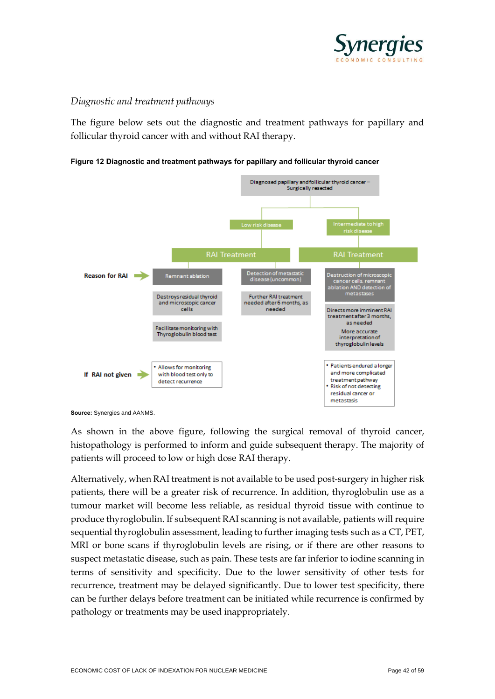

#### *Diagnostic and treatment pathways*

The figure below sets out the diagnostic and treatment pathways for papillary and follicular thyroid cancer with and without RAI therapy.

<span id="page-41-0"></span>



**Source:** Synergies and AANMS.

As shown in the above figure, following the surgical removal of thyroid cancer, histopathology is performed to inform and guide subsequent therapy. The majority of patients will proceed to low or high dose RAI therapy.

Alternatively, when RAI treatment is not available to be used post-surgery in higher risk patients, there will be a greater risk of recurrence. In addition, thyroglobulin use as a tumour market will become less reliable, as residual thyroid tissue with continue to produce thyroglobulin. If subsequent RAI scanning is not available, patients will require sequential thyroglobulin assessment, leading to further imaging tests such as a CT, PET, MRI or bone scans if thyroglobulin levels are rising, or if there are other reasons to suspect metastatic disease, such as pain. These tests are far inferior to iodine scanning in terms of sensitivity and specificity. Due to the lower sensitivity of other tests for recurrence, treatment may be delayed significantly. Due to lower test specificity, there can be further delays before treatment can be initiated while recurrence is confirmed by pathology or treatments may be used inappropriately.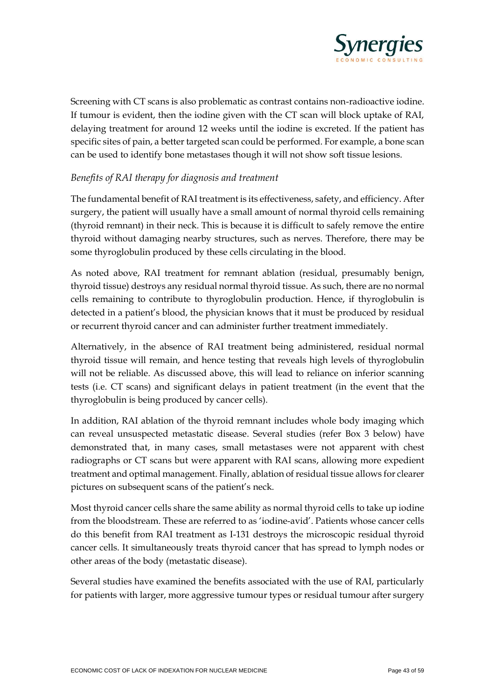

Screening with CT scans is also problematic as contrast contains non-radioactive iodine. If tumour is evident, then the iodine given with the CT scan will block uptake of RAI, delaying treatment for around 12 weeks until the iodine is excreted. If the patient has specific sites of pain, a better targeted scan could be performed. For example, a bone scan can be used to identify bone metastases though it will not show soft tissue lesions.

#### *Benefits of RAI therapy for diagnosis and treatment*

The fundamental benefit of RAI treatment is its effectiveness, safety, and efficiency. After surgery, the patient will usually have a small amount of normal thyroid cells remaining (thyroid remnant) in their neck. This is because it is difficult to safely remove the entire thyroid without damaging nearby structures, such as nerves. Therefore, there may be some thyroglobulin produced by these cells circulating in the blood.

As noted above, RAI treatment for remnant ablation (residual, presumably benign, thyroid tissue) destroys any residual normal thyroid tissue. As such, there are no normal cells remaining to contribute to thyroglobulin production. Hence, if thyroglobulin is detected in a patient's blood, the physician knows that it must be produced by residual or recurrent thyroid cancer and can administer further treatment immediately.

Alternatively, in the absence of RAI treatment being administered, residual normal thyroid tissue will remain, and hence testing that reveals high levels of thyroglobulin will not be reliable. As discussed above, this will lead to reliance on inferior scanning tests (i.e. CT scans) and significant delays in patient treatment (in the event that the thyroglobulin is being produced by cancer cells).

In addition, RAI ablation of the thyroid remnant includes whole body imaging which can reveal unsuspected metastatic disease. Several studies (refer Box 3 below) have demonstrated that, in many cases, small metastases were not apparent with chest radiographs or CT scans but were apparent with RAI scans, allowing more expedient treatment and optimal management. Finally, ablation of residual tissue allows for clearer pictures on subsequent scans of the patient's neck.

Most thyroid cancer cells share the same ability as normal thyroid cells to take up iodine from the bloodstream. These are referred to as 'iodine-avid'. Patients whose cancer cells do this benefit from RAI treatment as I-131 destroys the microscopic residual thyroid cancer cells. It simultaneously treats thyroid cancer that has spread to lymph nodes or other areas of the body (metastatic disease).

Several studies have examined the benefits associated with the use of RAI, particularly for patients with larger, more aggressive tumour types or residual tumour after surgery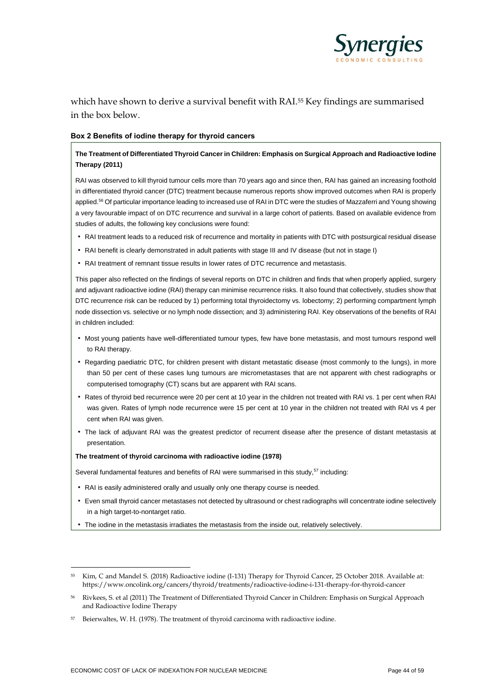

which have shown to derive a survival benefit with RAI.<sup>55</sup> Key findings are summarised in the box below.

#### **Box 2 Benefits of iodine therapy for thyroid cancers**

#### **The Treatment of Differentiated Thyroid Cancer in Children: Emphasis on Surgical Approach and Radioactive Iodine Therapy (2011)**

RAI was observed to kill thyroid tumour cells more than 70 years ago and since then, RAI has gained an increasing foothold in differentiated thyroid cancer (DTC) treatment because numerous reports show improved outcomes when RAI is properly applied.<sup>56</sup> Of particular importance leading to increased use of RAI in DTC were the studies of Mazzaferri and Young showing a very favourable impact of on DTC recurrence and survival in a large cohort of patients. Based on available evidence from studies of adults, the following key conclusions were found:

- RAI treatment leads to a reduced risk of recurrence and mortality in patients with DTC with postsurgical residual disease
- RAI benefit is clearly demonstrated in adult patients with stage III and IV disease (but not in stage I)
- RAI treatment of remnant tissue results in lower rates of DTC recurrence and metastasis.

This paper also reflected on the findings of several reports on DTC in children and finds that when properly applied, surgery and adjuvant radioactive iodine (RAI) therapy can minimise recurrence risks. It also found that collectively, studies show that DTC recurrence risk can be reduced by 1) performing total thyroidectomy vs. lobectomy: 2) performing compartment lymph node dissection vs. selective or no lymph node dissection; and 3) administering RAI. Key observations of the benefits of RAI in children included:

- Most young patients have well-differentiated tumour types, few have bone metastasis, and most tumours respond well to RAI therapy.
- Regarding paediatric DTC, for children present with distant metastatic disease (most commonly to the lungs), in more than 50 per cent of these cases lung tumours are micrometastases that are not apparent with chest radiographs or computerised tomography (CT) scans but are apparent with RAI scans.
- Rates of thyroid bed recurrence were 20 per cent at 10 year in the children not treated with RAI vs. 1 per cent when RAI was given. Rates of lymph node recurrence were 15 per cent at 10 year in the children not treated with RAI vs 4 per cent when RAI was given.
- The lack of adjuvant RAI was the greatest predictor of recurrent disease after the presence of distant metastasis at presentation.

**The treatment of thyroid carcinoma with radioactive iodine (1978)**

Several fundamental features and benefits of RAI were summarised in this study,<sup>57</sup> including:

- RAI is easily administered orally and usually only one therapy course is needed.
- Even small thyroid cancer metastases not detected by ultrasound or chest radiographs will concentrate iodine selectively in a high target-to-nontarget ratio.
- The iodine in the metastasis irradiates the metastasis from the inside out, relatively selectively.

<sup>55</sup> Kim, C and Mandel S. (2018) Radioactive iodine (I-131) Therapy for Thyroid Cancer, 25 October 2018. Available at: https://www.oncolink.org/cancers/thyroid/treatments/radioactive-iodine-i-131-therapy-for-thyroid-cancer

<sup>56</sup> Rivkees, S. et al (2011) The Treatment of Differentiated Thyroid Cancer in Children: Emphasis on Surgical Approach and Radioactive Iodine Therapy

<sup>57</sup> Beierwaltes, W. H. (1978). The treatment of thyroid carcinoma with radioactive iodine.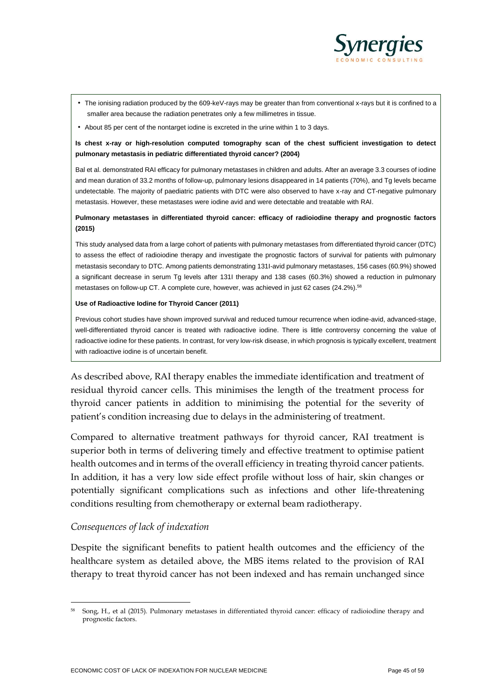

- The ionising radiation produced by the 609-keV-rays may be greater than from conventional x-rays but it is confined to a smaller area because the radiation penetrates only a few millimetres in tissue.
- About 85 per cent of the nontarget iodine is excreted in the urine within 1 to 3 days.

#### **Is chest x-ray or high-resolution computed tomography scan of the chest sufficient investigation to detect pulmonary metastasis in pediatric differentiated thyroid cancer? (2004)**

Bal et al. demonstrated RAI efficacy for pulmonary metastases in children and adults. After an average 3.3 courses of iodine and mean duration of 33.2 months of follow-up, pulmonary lesions disappeared in 14 patients (70%), and Tg levels became undetectable. The majority of paediatric patients with DTC were also observed to have x-ray and CT-negative pulmonary metastasis. However, these metastases were iodine avid and were detectable and treatable with RAI.

#### **Pulmonary metastases in differentiated thyroid cancer: efficacy of radioiodine therapy and prognostic factors (2015)**

This study analysed data from a large cohort of patients with pulmonary metastases from differentiated thyroid cancer (DTC) to assess the effect of radioiodine therapy and investigate the prognostic factors of survival for patients with pulmonary metastasis secondary to DTC. Among patients demonstrating 131I-avid pulmonary metastases, 156 cases (60.9%) showed a significant decrease in serum Tg levels after 131I therapy and 138 cases (60.3%) showed a reduction in pulmonary metastases on follow-up CT. A complete cure, however, was achieved in just 62 cases (24.2%).<sup>58</sup>

#### **Use of Radioactive Iodine for Thyroid Cancer (2011)**

Previous cohort studies have shown improved survival and reduced tumour recurrence when iodine-avid, advanced-stage, well-differentiated thyroid cancer is treated with radioactive iodine. There is little controversy concerning the value of radioactive iodine for these patients. In contrast, for very low-risk disease, in which prognosis is typically excellent, treatment with radioactive iodine is of uncertain benefit.

As described above, RAI therapy enables the immediate identification and treatment of residual thyroid cancer cells. This minimises the length of the treatment process for thyroid cancer patients in addition to minimising the potential for the severity of patient's condition increasing due to delays in the administering of treatment.

Compared to alternative treatment pathways for thyroid cancer, RAI treatment is superior both in terms of delivering timely and effective treatment to optimise patient health outcomes and in terms of the overall efficiency in treating thyroid cancer patients. In addition, it has a very low side effect profile without loss of hair, skin changes or potentially significant complications such as infections and other life-threatening conditions resulting from chemotherapy or external beam radiotherapy.

#### *Consequences of lack of indexation*

Despite the significant benefits to patient health outcomes and the efficiency of the healthcare system as detailed above, the MBS items related to the provision of RAI therapy to treat thyroid cancer has not been indexed and has remain unchanged since

<sup>58</sup> Song, H., et al (2015). Pulmonary metastases in differentiated thyroid cancer: efficacy of radioiodine therapy and prognostic factors.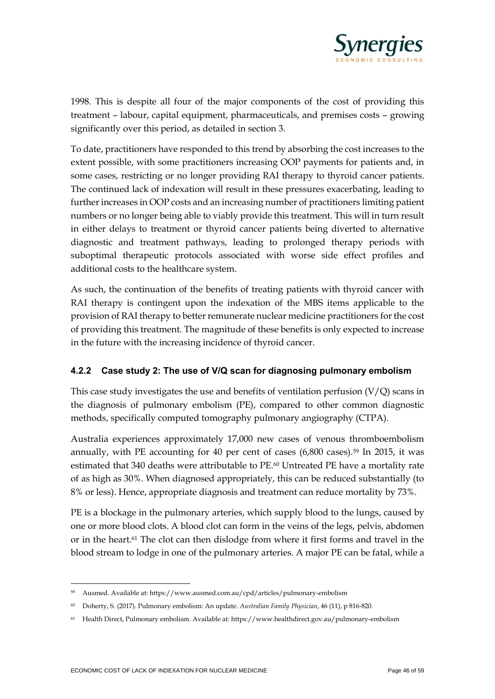

1998. This is despite all four of the major components of the cost of providing this treatment – labour, capital equipment, pharmaceuticals, and premises costs – growing significantly over this period, as detailed in section 3.

To date, practitioners have responded to this trend by absorbing the cost increases to the extent possible, with some practitioners increasing OOP payments for patients and, in some cases, restricting or no longer providing RAI therapy to thyroid cancer patients. The continued lack of indexation will result in these pressures exacerbating, leading to further increases in OOP costs and an increasing number of practitioners limiting patient numbers or no longer being able to viably provide this treatment. This will in turn result in either delays to treatment or thyroid cancer patients being diverted to alternative diagnostic and treatment pathways, leading to prolonged therapy periods with suboptimal therapeutic protocols associated with worse side effect profiles and additional costs to the healthcare system.

As such, the continuation of the benefits of treating patients with thyroid cancer with RAI therapy is contingent upon the indexation of the MBS items applicable to the provision of RAI therapy to better remunerate nuclear medicine practitioners for the cost of providing this treatment. The magnitude of these benefits is only expected to increase in the future with the increasing incidence of thyroid cancer.

#### **4.2.2 Case study 2: The use of V/Q scan for diagnosing pulmonary embolism**

This case study investigates the use and benefits of ventilation perfusion  $(V/Q)$  scans in the diagnosis of pulmonary embolism (PE), compared to other common diagnostic methods, specifically computed tomography pulmonary angiography (CTPA).

Australia experiences approximately 17,000 new cases of venous thromboembolism annually, with PE accounting for 40 per cent of cases  $(6,800 \text{ cases})$ .<sup>59</sup> In 2015, it was estimated that 340 deaths were attributable to PE. <sup>60</sup> Untreated PE have a mortality rate of as high as 30%. When diagnosed appropriately, this can be reduced substantially (to 8% or less). Hence, appropriate diagnosis and treatment can reduce mortality by 73%.

PE is a blockage in the pulmonary arteries, which supply blood to the lungs, caused by one or more blood clots. A blood clot can form in the veins of the legs, pelvis, abdomen or in the heart.<sup>61</sup> The clot can then dislodge from where it first forms and travel in the blood stream to lodge in one of the pulmonary arteries. A major PE can be fatal, while a

Ausmed. Available at: https://www.ausmed.com.au/cpd/articles/pulmonary-embolism

<sup>60</sup> Doherty, S. (2017). Pulmonary embolism: An update. *Australian Family Physician*, 46 (11), p 816-820.

<sup>61</sup> Health Direct, Pulmonary embolism. Available at: https://www.healthdirect.gov.au/pulmonary-embolism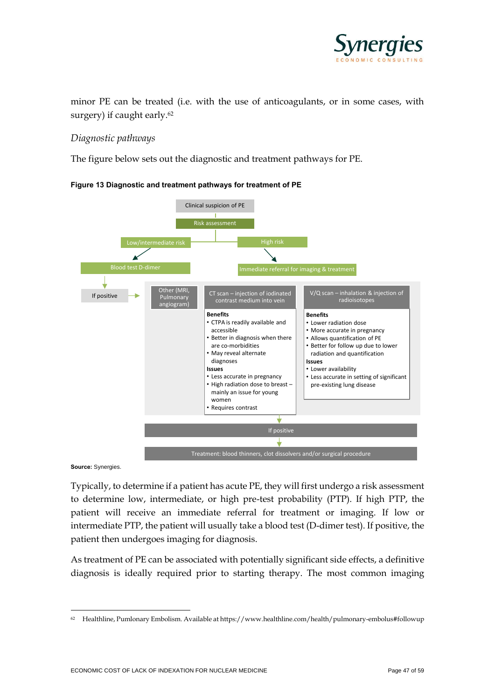

minor PE can be treated (i.e. with the use of anticoagulants, or in some cases, with surgery) if caught early.<sup>62</sup>

#### *Diagnostic pathways*

<span id="page-46-0"></span>The figure below sets out the diagnostic and treatment pathways for PE.



**Figure 13 Diagnostic and treatment pathways for treatment of PE** 

**Source:** Synergies.

Typically, to determine if a patient has acute PE, they will first undergo a risk assessment to determine low, intermediate, or high pre-test probability (PTP). If high PTP, the patient will receive an immediate referral for treatment or imaging. If low or intermediate PTP, the patient will usually take a blood test (D-dimer test). If positive, the patient then undergoes imaging for diagnosis.

As treatment of PE can be associated with potentially significant side effects, a definitive diagnosis is ideally required prior to starting therapy. The most common imaging

<sup>62</sup> Healthline, Pumlonary Embolism. Available at https://www.healthline.com/health/pulmonary-embolus#followup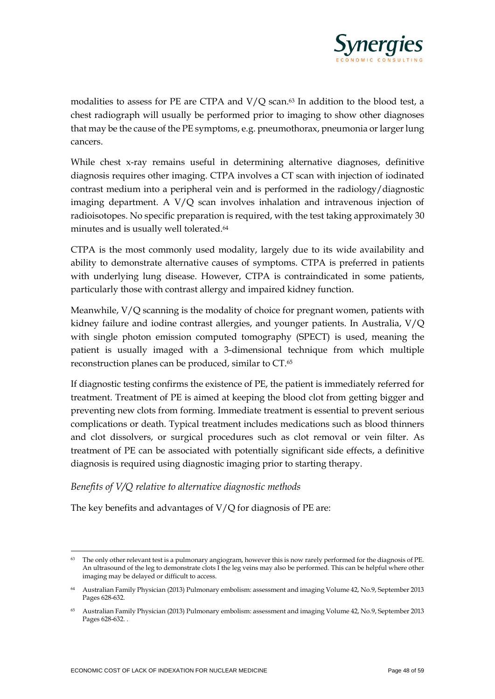

modalities to assess for PE are CTPA and V/Q scan. <sup>63</sup> In addition to the blood test, a chest radiograph will usually be performed prior to imaging to show other diagnoses that may be the cause of the PE symptoms, e.g. pneumothorax, pneumonia or larger lung cancers.

While chest x-ray remains useful in determining alternative diagnoses, definitive diagnosis requires other imaging. CTPA involves a CT scan with injection of iodinated contrast medium into a peripheral vein and is performed in the radiology/diagnostic imaging department. A V/Q scan involves inhalation and intravenous injection of radioisotopes. No specific preparation is required, with the test taking approximately 30 minutes and is usually well tolerated.<sup>64</sup>

CTPA is the most commonly used modality, largely due to its wide availability and ability to demonstrate alternative causes of symptoms. CTPA is preferred in patients with underlying lung disease. However, CTPA is contraindicated in some patients, particularly those with contrast allergy and impaired kidney function.

Meanwhile, V/Q scanning is the modality of choice for pregnant women, patients with kidney failure and iodine contrast allergies, and younger patients. In Australia, V/Q with single photon emission computed tomography (SPECT) is used, meaning the patient is usually imaged with a 3-dimensional technique from which multiple reconstruction planes can be produced, similar to CT.<sup>65</sup>

If diagnostic testing confirms the existence of PE, the patient is immediately referred for treatment. Treatment of PE is aimed at keeping the blood clot from getting bigger and preventing new clots from forming. Immediate treatment is essential to prevent serious complications or death. Typical treatment includes medications such as blood thinners and clot dissolvers, or surgical procedures such as clot removal or vein filter. As treatment of PE can be associated with potentially significant side effects, a definitive diagnosis is required using diagnostic imaging prior to starting therapy.

#### *Benefits of V/Q relative to alternative diagnostic methods*

The key benefits and advantages of  $V/Q$  for diagnosis of PE are:

The only other relevant test is a pulmonary angiogram, however this is now rarely performed for the diagnosis of PE. An ultrasound of the leg to demonstrate clots I the leg veins may also be performed. This can be helpful where other imaging may be delayed or difficult to access.

<sup>64</sup> Australian Family Physician (2013) Pulmonary embolism: assessment and imaging Volume 42, No.9, September 2013 Pages 628-632.

<sup>65</sup> Australian Family Physician (2013) Pulmonary embolism: assessment and imaging Volume 42, No.9, September 2013 Pages 628-632. .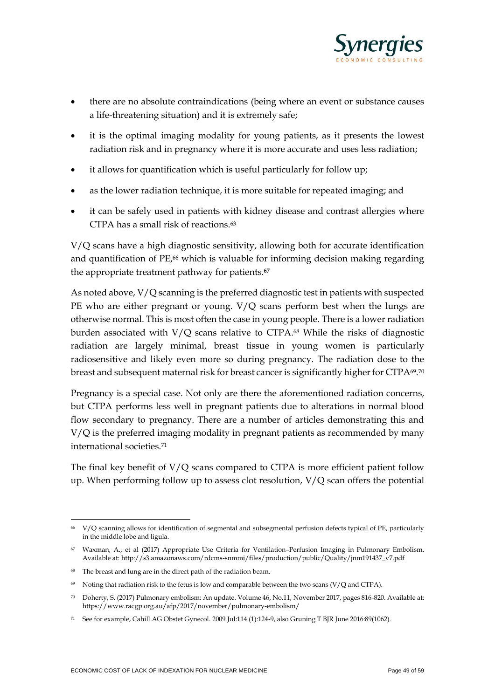

- there are no absolute contraindications (being where an event or substance causes a life-threatening situation) and it is extremely safe;
- it is the optimal imaging modality for young patients, as it presents the lowest radiation risk and in pregnancy where it is more accurate and uses less radiation;
- it allows for quantification which is useful particularly for follow up;
- as the lower radiation technique, it is more suitable for repeated imaging; and
- it can be safely used in patients with kidney disease and contrast allergies where CTPA has a small risk of reactions. 63

V/Q scans have a high diagnostic sensitivity, allowing both for accurate identification and quantification of PE,<sup>66</sup> which is valuable for informing decision making regarding the appropriate treatment pathway for patients.**<sup>67</sup>**

As noted above, V/Q scanning is the preferred diagnostic test in patients with suspected PE who are either pregnant or young. V/Q scans perform best when the lungs are otherwise normal. This is most often the case in young people. There is a lower radiation burden associated with V/Q scans relative to CTPA.<sup>68</sup> While the risks of diagnostic radiation are largely minimal, breast tissue in young women is particularly radiosensitive and likely even more so during pregnancy. The radiation dose to the breast and subsequent maternal risk for breast cancer is significantly higher for CTPA69.70

Pregnancy is a special case. Not only are there the aforementioned radiation concerns, but CTPA performs less well in pregnant patients due to alterations in normal blood flow secondary to pregnancy. There are a number of articles demonstrating this and V/Q is the preferred imaging modality in pregnant patients as recommended by many international societies.<sup>71</sup>

The final key benefit of V/Q scans compared to CTPA is more efficient patient follow up. When performing follow up to assess clot resolution, V/Q scan offers the potential

<sup>66</sup> V/Q scanning allows for identification of segmental and subsegmental perfusion defects typical of PE, particularly in the middle lobe and ligula.

<sup>67</sup> Waxman, A., et al (2017) Appropriate Use Criteria for Ventilation–Perfusion Imaging in Pulmonary Embolism. Available at: http://s3.amazonaws.com/rdcms-snmmi/files/production/public/Quality/jnm191437\_v7.pdf

<sup>68</sup> The breast and lung are in the direct path of the radiation beam.

<sup>&</sup>lt;sup>69</sup> Noting that radiation risk to the fetus is low and comparable between the two scans (V/Q and CTPA).

<sup>70</sup> Doherty, S. (2017) Pulmonary embolism: An update. Volume 46, No.11, November 2017, pages 816-820. Available at: https://www.racgp.org.au/afp/2017/november/pulmonary-embolism/

<sup>71</sup> See for example, Cahill AG Obstet Gynecol. 2009 Jul:114 (1):124-9, also Gruning T BJR June 2016:89(1062).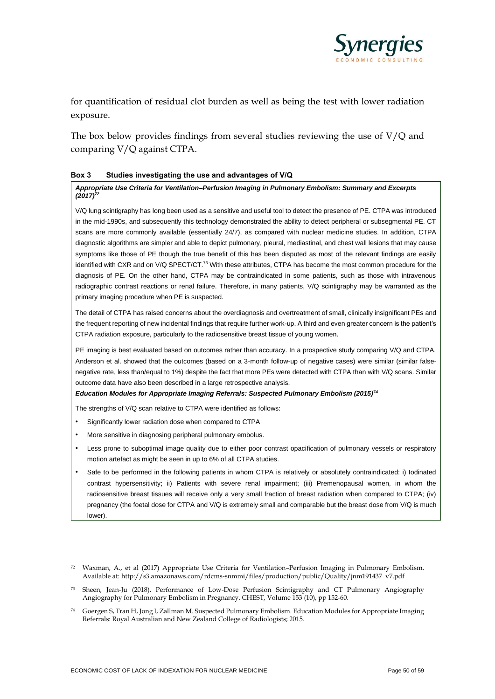

for quantification of residual clot burden as well as being the test with lower radiation exposure.

The box below provides findings from several studies reviewing the use of V/Q and comparing V/Q against CTPA.

#### **Box 3 Studies investigating the use and advantages of V/Q**

#### *Appropriate Use Criteria for Ventilation–Perfusion Imaging in Pulmonary Embolism: Summary and Excerpts (2017)<sup>72</sup>*

V/Q lung scintigraphy has long been used as a sensitive and useful tool to detect the presence of PE. CTPA was introduced in the mid-1990s, and subsequently this technology demonstrated the ability to detect peripheral or subsegmental PE. CT scans are more commonly available (essentially 24/7), as compared with nuclear medicine studies. In addition, CTPA diagnostic algorithms are simpler and able to depict pulmonary, pleural, mediastinal, and chest wall lesions that may cause symptoms like those of PE though the true benefit of this has been disputed as most of the relevant findings are easily identified with CXR and on V/Q SPECT/CT.<sup>73</sup> With these attributes, CTPA has become the most common procedure for the diagnosis of PE. On the other hand, CTPA may be contraindicated in some patients, such as those with intravenous radiographic contrast reactions or renal failure. Therefore, in many patients, V/Q scintigraphy may be warranted as the primary imaging procedure when PE is suspected.

The detail of CTPA has raised concerns about the overdiagnosis and overtreatment of small, clinically insignificant PEs and the frequent reporting of new incidental findings that require further work-up. A third and even greater concern is the patient's CTPA radiation exposure, particularly to the radiosensitive breast tissue of young women.

PE imaging is best evaluated based on outcomes rather than accuracy. In a prospective study comparing V/Q and CTPA, Anderson et al. showed that the outcomes (based on a 3-month follow-up of negative cases) were similar (similar falsenegative rate, less than/equal to 1%) despite the fact that more PEs were detected with CTPA than with V/Q scans. Similar outcome data have also been described in a large retrospective analysis.

#### *Education Modules for Appropriate Imaging Referrals: Suspected Pulmonary Embolism (2015)<sup>74</sup>*

The strengths of V/Q scan relative to CTPA were identified as follows:

- Significantly lower radiation dose when compared to CTPA
- More sensitive in diagnosing peripheral pulmonary embolus.
- Less prone to suboptimal image quality due to either poor contrast opacification of pulmonary vessels or respiratory motion artefact as might be seen in up to 6% of all CTPA studies.
- Safe to be performed in the following patients in whom CTPA is relatively or absolutely contraindicated: i) Iodinated contrast hypersensitivity; ii) Patients with severe renal impairment; (iii) Premenopausal women, in whom the radiosensitive breast tissues will receive only a very small fraction of breast radiation when compared to CTPA; (iv) pregnancy (the foetal dose for CTPA and V/Q is extremely small and comparable but the breast dose from V/Q is much lower).

<sup>72</sup> Waxman, A., et al (2017) Appropriate Use Criteria for Ventilation–Perfusion Imaging in Pulmonary Embolism. Available at: http://s3.amazonaws.com/rdcms-snmmi/files/production/public/Quality/jnm191437\_v7.pdf

<sup>73</sup> Sheen, Jean-Ju (2018). Performance of Low-Dose Perfusion Scintigraphy and CT Pulmonary Angiography Angiography for Pulmonary Embolism in Pregnancy. CHEST, Volume 153 (10), pp 152-60.

<sup>74</sup> Goergen S, Tran H, Jong I, Zallman M. Suspected Pulmonary Embolism. Education Modules for Appropriate Imaging Referrals: Royal Australian and New Zealand College of Radiologists; 2015.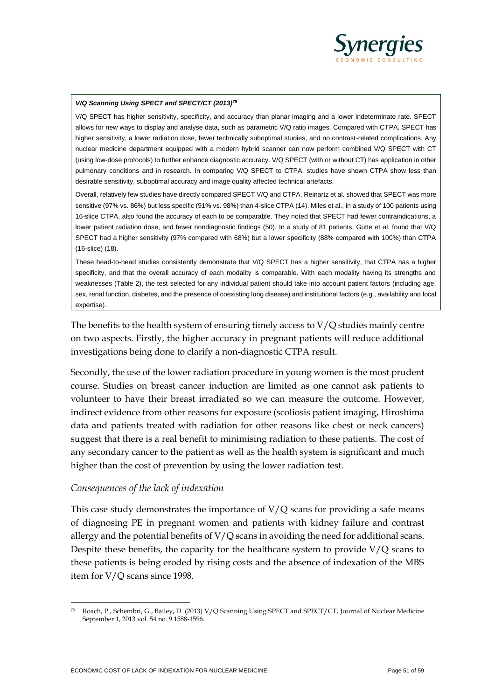

#### *V/Q Scanning Using SPECT and SPECT/CT (2013)<sup>75</sup>*

V/Q SPECT has higher sensitivity, specificity, and accuracy than planar imaging and a lower indeterminate rate. SPECT allows for new ways to display and analyse data, such as parametric V/Q ratio images. Compared with CTPA, SPECT has higher sensitivity, a lower radiation dose, fewer technically suboptimal studies, and no contrast-related complications. Any nuclear medicine department equipped with a modern hybrid scanner can now perform combined V/Q SPECT with CT (using low-dose protocols) to further enhance diagnostic accuracy. V/Q SPECT (with or without CT) has application in other pulmonary conditions and in research. In comparing V/Q SPECT to CTPA, studies have shown CTPA show less than desirable sensitivity, suboptimal accuracy and image quality affected technical artefacts.

Overall, relatively few studies have directly compared SPECT V/Q and CTPA. Reinartz et al. showed that SPECT was more sensitive (97% vs. 86%) but less specific (91% vs. 98%) than 4-slice CTPA (14). Miles et al., in a study of 100 patients using 16-slice CTPA, also found the accuracy of each to be comparable. They noted that SPECT had fewer contraindications, a lower patient radiation dose, and fewer nondiagnostic findings (50). In a study of 81 patients, Gutte et al. found that V/Q SPECT had a higher sensitivity (97% compared with 68%) but a lower specificity (88% compared with 100%) than CTPA (16-slice) (18).

These head-to-head studies consistently demonstrate that V/Q SPECT has a higher sensitivity, that CTPA has a higher specificity, and that the overall accuracy of each modality is comparable. With each modality having its strengths and weaknesses (Table 2), the test selected for any individual patient should take into account patient factors (including age, sex, renal function, diabetes, and the presence of coexisting lung disease) and institutional factors (e.g., availability and local expertise).

The benefits to the health system of ensuring timely access to V/Q studies mainly centre on two aspects. Firstly, the higher accuracy in pregnant patients will reduce additional investigations being done to clarify a non-diagnostic CTPA result.

Secondly, the use of the lower radiation procedure in young women is the most prudent course. Studies on breast cancer induction are limited as one cannot ask patients to volunteer to have their breast irradiated so we can measure the outcome. However, indirect evidence from other reasons for exposure (scoliosis patient imaging, Hiroshima data and patients treated with radiation for other reasons like chest or neck cancers) suggest that there is a real benefit to minimising radiation to these patients. The cost of any secondary cancer to the patient as well as the health system is significant and much higher than the cost of prevention by using the lower radiation test.

#### *Consequences of the lack of indexation*

This case study demonstrates the importance of  $V/Q$  scans for providing a safe means of diagnosing PE in pregnant women and patients with kidney failure and contrast allergy and the potential benefits of  $V/Q$  scans in avoiding the need for additional scans. Despite these benefits, the capacity for the healthcare system to provide V/Q scans to these patients is being eroded by rising costs and the absence of indexation of the MBS item for V/Q scans since 1998.

<sup>75</sup> Roach, P., Schembri, G., Bailey, D. (2013) V/Q Scanning Using SPECT and SPECT/CT, Journal of Nuclear Medicine September 1, 2013 vol. 54 no. 9 1588-1596.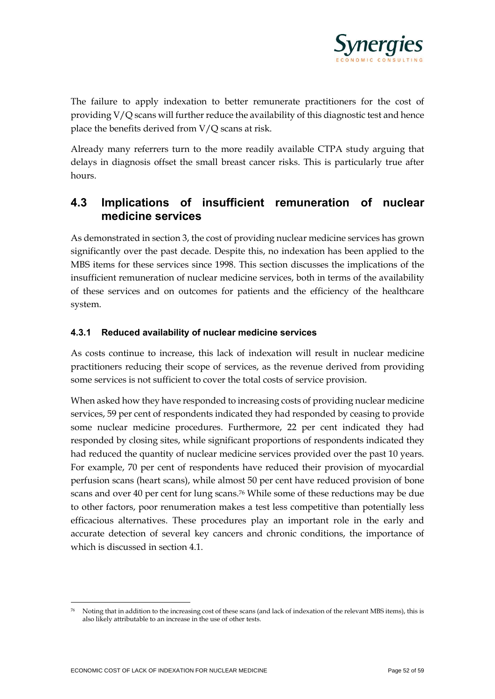

The failure to apply indexation to better remunerate practitioners for the cost of providing V/Q scans will further reduce the availability of this diagnostic test and hence place the benefits derived from V/Q scans at risk.

Already many referrers turn to the more readily available CTPA study arguing that delays in diagnosis offset the small breast cancer risks. This is particularly true after hours.

## **4.3 Implications of insufficient remuneration of nuclear medicine services**

As demonstrated in section 3, the cost of providing nuclear medicine services has grown significantly over the past decade. Despite this, no indexation has been applied to the MBS items for these services since 1998. This section discusses the implications of the insufficient remuneration of nuclear medicine services, both in terms of the availability of these services and on outcomes for patients and the efficiency of the healthcare system.

#### **4.3.1 Reduced availability of nuclear medicine services**

As costs continue to increase, this lack of indexation will result in nuclear medicine practitioners reducing their scope of services, as the revenue derived from providing some services is not sufficient to cover the total costs of service provision.

When asked how they have responded to increasing costs of providing nuclear medicine services, 59 per cent of respondents indicated they had responded by ceasing to provide some nuclear medicine procedures. Furthermore, 22 per cent indicated they had responded by closing sites, while significant proportions of respondents indicated they had reduced the quantity of nuclear medicine services provided over the past 10 years. For example, 70 per cent of respondents have reduced their provision of myocardial perfusion scans (heart scans), while almost 50 per cent have reduced provision of bone scans and over 40 per cent for lung scans. <sup>76</sup> While some of these reductions may be due to other factors, poor renumeration makes a test less competitive than potentially less efficacious alternatives. These procedures play an important role in the early and accurate detection of several key cancers and chronic conditions, the importance of which is discussed in section 4.1.

<sup>76</sup> Noting that in addition to the increasing cost of these scans (and lack of indexation of the relevant MBS items), this is also likely attributable to an increase in the use of other tests.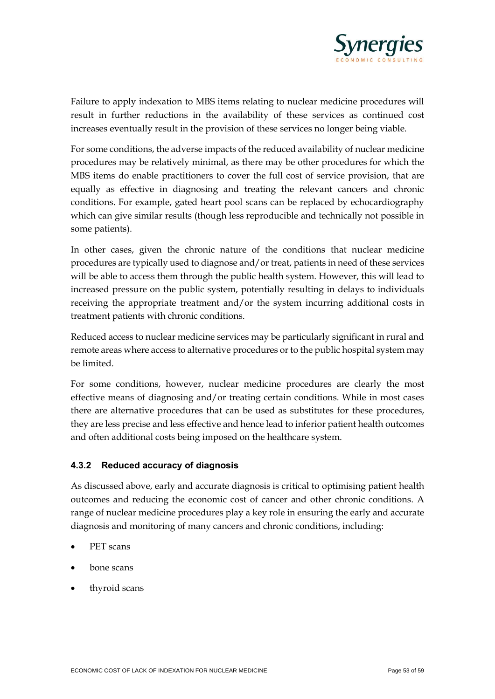

Failure to apply indexation to MBS items relating to nuclear medicine procedures will result in further reductions in the availability of these services as continued cost increases eventually result in the provision of these services no longer being viable.

For some conditions, the adverse impacts of the reduced availability of nuclear medicine procedures may be relatively minimal, as there may be other procedures for which the MBS items do enable practitioners to cover the full cost of service provision, that are equally as effective in diagnosing and treating the relevant cancers and chronic conditions. For example, gated heart pool scans can be replaced by echocardiography which can give similar results (though less reproducible and technically not possible in some patients).

In other cases, given the chronic nature of the conditions that nuclear medicine procedures are typically used to diagnose and/or treat, patients in need of these services will be able to access them through the public health system. However, this will lead to increased pressure on the public system, potentially resulting in delays to individuals receiving the appropriate treatment and/or the system incurring additional costs in treatment patients with chronic conditions.

Reduced access to nuclear medicine services may be particularly significant in rural and remote areas where access to alternative procedures or to the public hospital system may be limited.

For some conditions, however, nuclear medicine procedures are clearly the most effective means of diagnosing and/or treating certain conditions. While in most cases there are alternative procedures that can be used as substitutes for these procedures, they are less precise and less effective and hence lead to inferior patient health outcomes and often additional costs being imposed on the healthcare system.

#### **4.3.2 Reduced accuracy of diagnosis**

As discussed above, early and accurate diagnosis is critical to optimising patient health outcomes and reducing the economic cost of cancer and other chronic conditions. A range of nuclear medicine procedures play a key role in ensuring the early and accurate diagnosis and monitoring of many cancers and chronic conditions, including:

- PET scans
- bone scans
- thyroid scans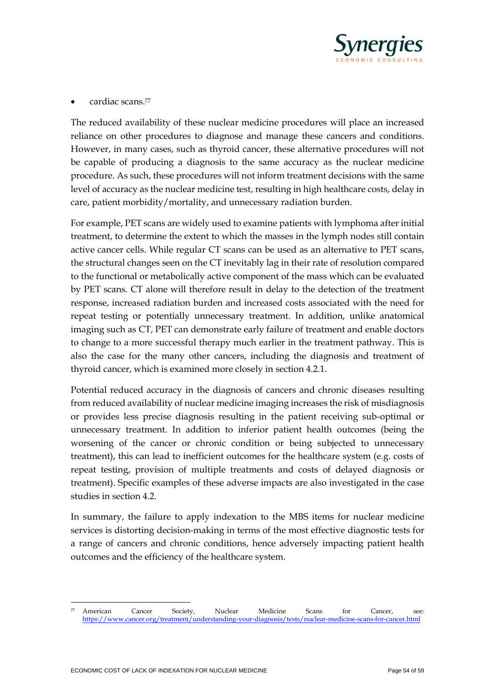

• cardiac scans.<sup>77</sup>

The reduced availability of these nuclear medicine procedures will place an increased reliance on other procedures to diagnose and manage these cancers and conditions. However, in many cases, such as thyroid cancer, these alternative procedures will not be capable of producing a diagnosis to the same accuracy as the nuclear medicine procedure. As such, these procedures will not inform treatment decisions with the same level of accuracy as the nuclear medicine test, resulting in high healthcare costs, delay in care, patient morbidity/mortality, and unnecessary radiation burden.

For example, PET scans are widely used to examine patients with lymphoma after initial treatment, to determine the extent to which the masses in the lymph nodes still contain active cancer cells. While regular CT scans can be used as an alternative to PET scans, the structural changes seen on the CT inevitably lag in their rate of resolution compared to the functional or metabolically active component of the mass which can be evaluated by PET scans. CT alone will therefore result in delay to the detection of the treatment response, increased radiation burden and increased costs associated with the need for repeat testing or potentially unnecessary treatment. In addition, unlike anatomical imaging such as CT, PET can demonstrate early failure of treatment and enable doctors to change to a more successful therapy much earlier in the treatment pathway. This is also the case for the many other cancers, including the diagnosis and treatment of thyroid cancer, which is examined more closely in section 4.2.1.

Potential reduced accuracy in the diagnosis of cancers and chronic diseases resulting from reduced availability of nuclear medicine imaging increases the risk of misdiagnosis or provides less precise diagnosis resulting in the patient receiving sub-optimal or unnecessary treatment. In addition to inferior patient health outcomes (being the worsening of the cancer or chronic condition or being subjected to unnecessary treatment), this can lead to inefficient outcomes for the healthcare system (e.g. costs of repeat testing, provision of multiple treatments and costs of delayed diagnosis or treatment). Specific examples of these adverse impacts are also investigated in the case studies in section 4.2.

In summary, the failure to apply indexation to the MBS items for nuclear medicine services is distorting decision-making in terms of the most effective diagnostic tests for a range of cancers and chronic conditions, hence adversely impacting patient health outcomes and the efficiency of the healthcare system.

 $77$  American Cancer Society, Nuclear Medicine Scans for Cancer, see: [https://www.cancer.org/treatment/understanding-your-diagnosis/tests/nuclear-medicine-scans-for-cancer.html](about:blank)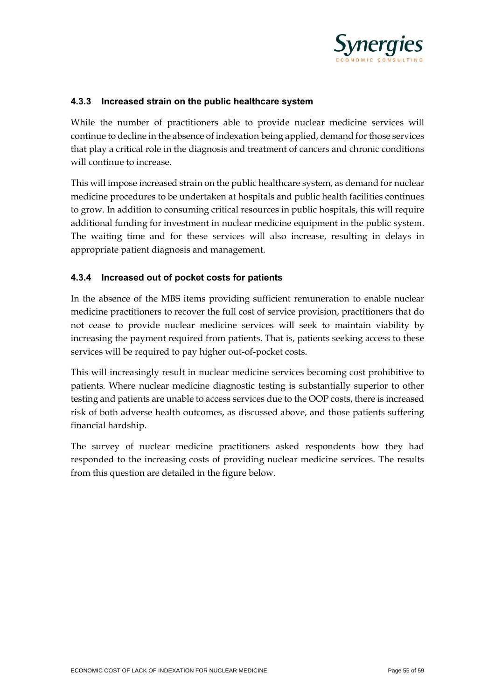

#### **4.3.3 Increased strain on the public healthcare system**

While the number of practitioners able to provide nuclear medicine services will continue to decline in the absence of indexation being applied, demand for those services that play a critical role in the diagnosis and treatment of cancers and chronic conditions will continue to increase.

This will impose increased strain on the public healthcare system, as demand for nuclear medicine procedures to be undertaken at hospitals and public health facilities continues to grow. In addition to consuming critical resources in public hospitals, this will require additional funding for investment in nuclear medicine equipment in the public system. The waiting time and for these services will also increase, resulting in delays in appropriate patient diagnosis and management.

#### **4.3.4 Increased out of pocket costs for patients**

In the absence of the MBS items providing sufficient remuneration to enable nuclear medicine practitioners to recover the full cost of service provision, practitioners that do not cease to provide nuclear medicine services will seek to maintain viability by increasing the payment required from patients. That is, patients seeking access to these services will be required to pay higher out-of-pocket costs.

This will increasingly result in nuclear medicine services becoming cost prohibitive to patients. Where nuclear medicine diagnostic testing is substantially superior to other testing and patients are unable to access services due to the OOP costs, there is increased risk of both adverse health outcomes, as discussed above, and those patients suffering financial hardship.

The survey of nuclear medicine practitioners asked respondents how they had responded to the increasing costs of providing nuclear medicine services. The results from this question are detailed in the figure below.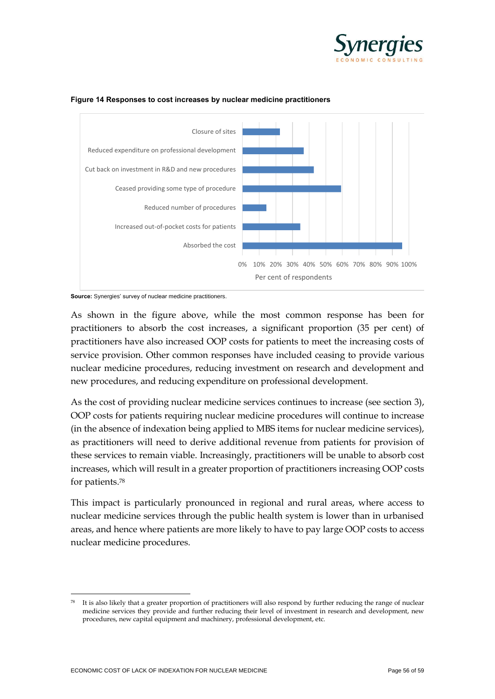



#### <span id="page-55-0"></span>**Figure 14 Responses to cost increases by nuclear medicine practitioners**

As shown in the figure above, while the most common response has been for practitioners to absorb the cost increases, a significant proportion (35 per cent) of practitioners have also increased OOP costs for patients to meet the increasing costs of service provision. Other common responses have included ceasing to provide various nuclear medicine procedures, reducing investment on research and development and new procedures, and reducing expenditure on professional development.

As the cost of providing nuclear medicine services continues to increase (see section 3), OOP costs for patients requiring nuclear medicine procedures will continue to increase (in the absence of indexation being applied to MBS items for nuclear medicine services), as practitioners will need to derive additional revenue from patients for provision of these services to remain viable. Increasingly, practitioners will be unable to absorb cost increases, which will result in a greater proportion of practitioners increasing OOP costs for patients.<sup>78</sup>

This impact is particularly pronounced in regional and rural areas, where access to nuclear medicine services through the public health system is lower than in urbanised areas, and hence where patients are more likely to have to pay large OOP costs to access nuclear medicine procedures.

**Source:** Synergies' survey of nuclear medicine practitioners.

It is also likely that a greater proportion of practitioners will also respond by further reducing the range of nuclear medicine services they provide and further reducing their level of investment in research and development, new procedures, new capital equipment and machinery, professional development, etc.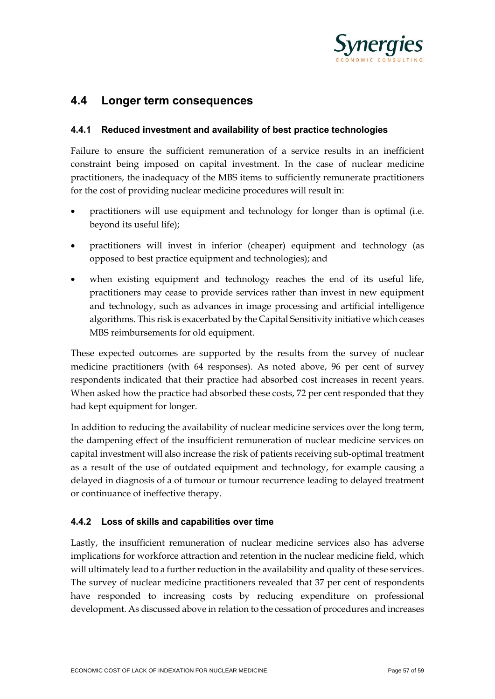

### **4.4 Longer term consequences**

#### **4.4.1 Reduced investment and availability of best practice technologies**

Failure to ensure the sufficient remuneration of a service results in an inefficient constraint being imposed on capital investment. In the case of nuclear medicine practitioners, the inadequacy of the MBS items to sufficiently remunerate practitioners for the cost of providing nuclear medicine procedures will result in:

- practitioners will use equipment and technology for longer than is optimal (i.e. beyond its useful life);
- practitioners will invest in inferior (cheaper) equipment and technology (as opposed to best practice equipment and technologies); and
- when existing equipment and technology reaches the end of its useful life, practitioners may cease to provide services rather than invest in new equipment and technology, such as advances in image processing and artificial intelligence algorithms. This risk is exacerbated by the Capital Sensitivity initiative which ceases MBS reimbursements for old equipment.

These expected outcomes are supported by the results from the survey of nuclear medicine practitioners (with 64 responses). As noted above, 96 per cent of survey respondents indicated that their practice had absorbed cost increases in recent years. When asked how the practice had absorbed these costs, 72 per cent responded that they had kept equipment for longer.

In addition to reducing the availability of nuclear medicine services over the long term, the dampening effect of the insufficient remuneration of nuclear medicine services on capital investment will also increase the risk of patients receiving sub-optimal treatment as a result of the use of outdated equipment and technology, for example causing a delayed in diagnosis of a of tumour or tumour recurrence leading to delayed treatment or continuance of ineffective therapy.

#### **4.4.2 Loss of skills and capabilities over time**

Lastly, the insufficient remuneration of nuclear medicine services also has adverse implications for workforce attraction and retention in the nuclear medicine field, which will ultimately lead to a further reduction in the availability and quality of these services. The survey of nuclear medicine practitioners revealed that 37 per cent of respondents have responded to increasing costs by reducing expenditure on professional development. As discussed above in relation to the cessation of procedures and increases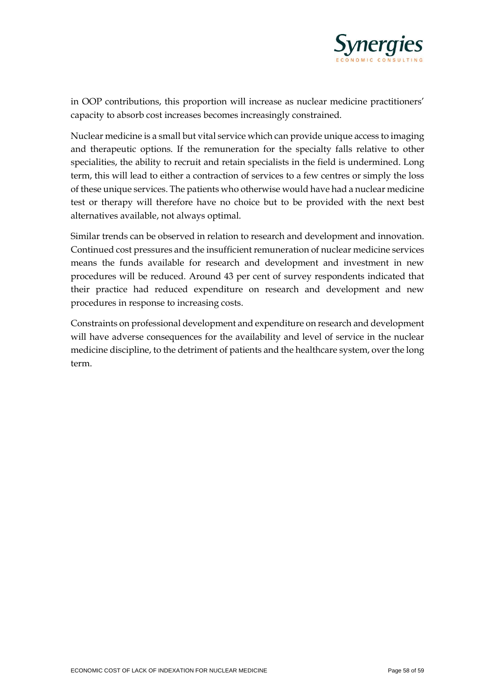

in OOP contributions, this proportion will increase as nuclear medicine practitioners' capacity to absorb cost increases becomes increasingly constrained.

Nuclear medicine is a small but vital service which can provide unique access to imaging and therapeutic options. If the remuneration for the specialty falls relative to other specialities, the ability to recruit and retain specialists in the field is undermined. Long term, this will lead to either a contraction of services to a few centres or simply the loss of these unique services. The patients who otherwise would have had a nuclear medicine test or therapy will therefore have no choice but to be provided with the next best alternatives available, not always optimal.

Similar trends can be observed in relation to research and development and innovation. Continued cost pressures and the insufficient remuneration of nuclear medicine services means the funds available for research and development and investment in new procedures will be reduced. Around 43 per cent of survey respondents indicated that their practice had reduced expenditure on research and development and new procedures in response to increasing costs.

Constraints on professional development and expenditure on research and development will have adverse consequences for the availability and level of service in the nuclear medicine discipline, to the detriment of patients and the healthcare system, over the long term.